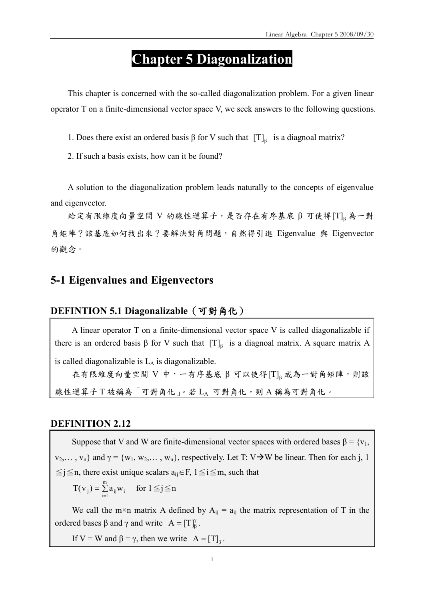# Chapter 5 Diagonalization

This chapter is concerned with the so-called diagonalization problem. For a given linear operator T on a finite-dimensional vector space V, we seek answers to the following questions.

1. Does there exist an ordered basis β for V such that  $[T]_β$  is a diagnoal matrix?

2. If such a basis exists, how can it be found?

A solution to the diagonalization problem leads naturally to the concepts of eigenvalue and eigenvector.

給定有限維度向量空間 V 的線性運算子,是否存在有序基底 β 可使得[T]<sub>β</sub>為一對 角矩陣?該基底如何找出來?要解決對角問題,自然得引進 Eigenvalue 與 Eigenvector 的觀念。

## 5-1 Eigenvalues and Eigenvectors

#### DEFINTION 5.1 Diagonalizable (可對角化)

A linear operator T on a finite-dimensional vector space V is called diagonalizable if there is an ordered basis  $\beta$  for V such that  $[T]_{\beta}$  is a diagnoal matrix. A square matrix A

is called diagonalizable is  $L_A$  is diagonalizable.

在有限維度向量空間 V 中,一有序基底 β 可以使得 ${[\rm T]}_{\rm \tiny \beta}$ 成為一對角矩陣,則該 線性運算子 T 被稱為「可對角化」。若 LA 可對角化,則 A 稱為可對角化。

#### DEFINITION 2.12

Suppose that V and W are finite-dimensional vector spaces with ordered bases  $\beta = \{v_1,$  $v_2,..., v_n$ } and  $\gamma = \{w_1, w_2,..., w_n\}$ , respectively. Let T: V $\rightarrow$ W be linear. Then for each j, 1  $\le j \le n$ , there exist unique scalars  $a_{ij} \in F$ ,  $1 \le i \le m$ , such that

$$
T(v_j) = \sum_{i=1}^{m} a_{ij} w_i \quad \text{ for } 1 \leq j \leq n
$$

We call the m×n matrix A defined by  $A_{ii} = a_{ii}$  the matrix representation of T in the ordered bases  $\beta$  and  $\gamma$  and write  $A = [T]_{\beta}^{\gamma}$ .

If V = W and  $\beta = \gamma$ , then we write  $A = [T]_8$ .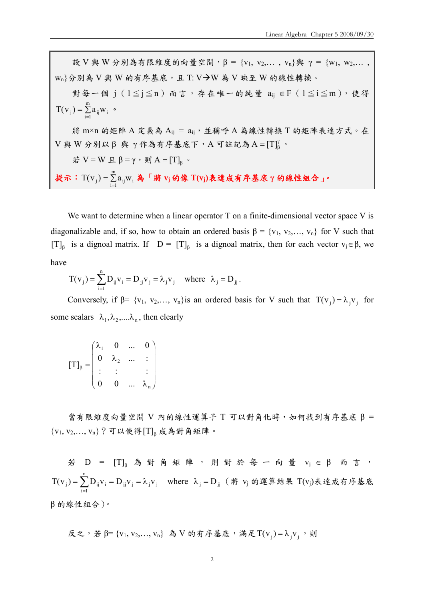設 V 與 W 分別為有限維度的向量空間, β = {v<sub>1</sub>, v<sub>2</sub>,..., v<sub>n</sub>}與 γ = {w<sub>1</sub>, w<sub>2</sub>,...,  $\mathsf{w_n}\}$ 分別為  $\mathsf{V}$  與  $\mathsf{W}$  的有序基底, 且 T:  $\mathsf{V}\boldsymbol{\rightarrow}\mathsf{W}$  為  $\mathsf{V}$  映至  $\mathsf{W}$  的線性轉換。

對每一個 j (1≦j≦n)而言,存在唯一的純量 a<sub>ij</sub> ∈F (1≦i≦m),使得  $=\sum_{i=1}$ m  $T(v_j) = \sum_{i=1}^{\infty} a_{ij}w_i$  .

將 m×n 的矩陣 A 定義為 Aij = aij, 並稱呼 A 為線性轉換 T 的矩陣表達方式。在  $V$  與  $W$  分別以β 與 γ作為有序基底下,A 可註記為 A = [T] $^{\gamma}_{\beta}$ 。

 $\sharp$  V = W 且 β = γ, 則 A = [T]<sub>β</sub> ·

提示: $T(v_j) = \sum_{i=1}^n$ m  $T({\rm v}_{\rm j})$  =  $\sum\limits_{\rm i=1}^{\rm }\!{\rm a}_{\rm ij}$ w $_{\rm i}$  為「將  ${\rm v}_{\rm j}$  的像  $T({\rm v}_{\rm j})$ 表達成有序基底 γ 的線性組合 」。

We want to determine when a linear operator T on a finite-dimensional vector space V is diagonalizable and, if so, how to obtain an ordered basis  $\beta = \{v_1, v_2, \dots, v_n\}$  for V such that [T]<sub> $\beta$ </sub> is a dignoal matrix. If  $D = [T]_{\beta}$  is a dignoal matrix, then for each vector  $v_j \in \beta$ , we have

$$
T(v_j) = \sum_{i=1}^{n} D_{ij} v_i = D_{jj} v_j = \lambda_j v_j \quad \text{where} \quad \lambda_j = D_{jj}.
$$

Conversely, if  $\beta = \{v_1, v_2, \dots, v_n\}$  is an ordered basis for V such that  $T(v_i) = \lambda_i v_i$  for some scalars  $\lambda_1, \lambda_2, \ldots, \lambda_n$ , then clearly

 $\overline{\phantom{a}}$  $\overline{\phantom{a}}$  $\overline{\phantom{a}}$  $\overline{\phantom{a}}$ J  $\backslash$  $\overline{\phantom{a}}$  $\mathbf{r}$  $\mathbf{r}$  $\mathsf{I}$  $\setminus$ ſ λ λ λ  $\beta = \begin{bmatrix} 0 & \lambda_2 \\ 1 & \lambda_1 \end{bmatrix}$ n 1  $0 \t 0 \t ...$  $: \mathbb{R}^3 \times \mathbb{R}^3 \rightarrow \mathbb{R}^3$  $0 \quad \lambda_2 \quad ... \quad :$ 0 ... 0  $[T]$ 

當有限維度向量空間 V 內的線性運算子 T 可以對角化時,如何找到有序基底 β =  ${v_1, v_2,..., v_n}$ ?可以使得 $[T]_0$ 成為對角矩陣。

若 D =  $[T]_β$  為對角矩陣,則對於每一向量 vj∈β 而言,  $j_i$   $\mathbf{v}_j$  j  $\mathbf{v}_j$ n  $i = 1$  $T(v_j) = \sum_{i=1} D_{ij} v_i = D_{jj} v_j = \lambda_j v_j$ where  $\lambda_j = D_{jj}$  (將 vj 的運算結果 T(vj)表達成有序基底 β 的線性組合)。

反之,若 β= {v<sub>1</sub>, v<sub>2</sub>,..., v<sub>n</sub>} 為 V的有ဲ,基成,満及 T(v<sub>j</sub>) = 
$$
λ_j v_j
$$
,則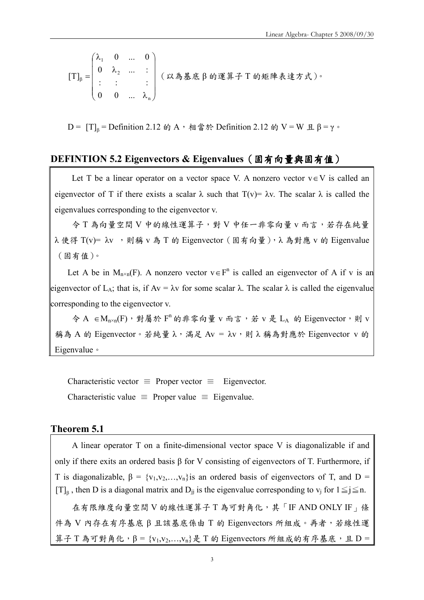$$
[\mathrm{T}]_{\beta} = \begin{pmatrix} \lambda_1 & 0 & \dots & 0 \\ 0 & \lambda_2 & \dots & \vdots \\ \vdots & \vdots & & \vdots \\ 0 & 0 & \dots & \lambda_n \end{pmatrix} \quad (\text{X} \land \text{A} \land \text{A} \land \text{A} \land \text{A} \land \text{B} \land \text{C} \land \text{C} \land \text{C} \land \text{C} \land \text{C} \land \text{C} \land \text{C} \land \text{C} \land \text{C} \land \text{C} \land \text{C} \land \text{C} \land \text{C} \land \text{C} \land \text{C} \land \text{C} \land \text{C} \land \text{C} \land \text{C} \land \text{C} \land \text{C} \land \text{C} \land \text{C} \land \text{C} \land \text{C} \land \text{C} \land \text{C} \land \text{C} \land \text{C} \land \text{C} \land \text{C} \land \text{C} \land \text{C} \land \text{C} \land \text{C} \land \text{C} \land \text{C} \land \text{C} \land \text{C} \land \text{C} \land \text{C} \land \text{C} \land \text{C} \land \text{C} \land \text{C} \land \text{C} \land \text{C} \land \text{C} \land \text{C} \land \text{C} \land \text{C} \land \text{C} \land \text{C} \land \text{C} \land \text{C} \land \text{C} \land \text{C} \land \text{C} \land \text{C} \land \text{C} \land \text{C} \land \text{C} \land \text{C} \land \text{C} \land \text{C} \land \text{C} \land \text{C} \land \text{C} \land \text{C} \land \text{C} \land \text{C} \land \text{C} \land \text{C} \land \text{C} \land \text{C} \land \text{C} \land \text{C} \land \text{C} \land \text{C} \land \text{C} \land \text{C} \land \text{C} \land \text{C} \land \text{C} \land \text{C} \land \text{C} \land \text{C} \land \text{C} \land
$$

D =  $[T]_β$  = Definition 2.12 的 A,相當於 Definition 2.12 的 V = W 且 β = γ。

#### DEFINTION 5.2 Eigenvectors & Eigenvalues (固有向量與固有值)

Let T be a linear operator on a vector space V. A nonzero vector  $v \in V$  is called an eigenvector of T if there exists a scalar  $\lambda$  such that T(v)=  $\lambda v$ . The scalar  $\lambda$  is called the eigenvalues corresponding to the eigenvector v.

令 T 為向量空間 V 中的線性運算子,對 V 中任一非零向量 v 而言,若存在純量  $\lambda$  使得 T(v)=  $\lambda$ v , 則稱 v 為 T 的 Eigenvector (固有向量), λ 為對應 v 的 Eigenvalue (固有值)。

Let A be in  $M_{n \times n}(F)$ . A nonzero vector  $v \in F^n$  is called an eigenvector of A if v is an eigenvector of L<sub>A</sub>; that is, if Av =  $\lambda$ v for some scalar  $\lambda$ . The scalar  $\lambda$  is called the eigenvalue corresponding to the eigenvector v.

 $\diamondsuit$  A ∈ M<sub>n×n</sub>(F),對屬於 F<sup>n</sup> 的非零向量 v 而言, 若 v 是 LA 的 Eigenvector,則 v 稱為 A 的 Eigenvector。若純量 λ,滿足 Av = λv,則 λ 稱為對應於 Eigenvector v 的 Eigenvalue。

Characteristic vector  $\equiv$  Proper vector  $\equiv$  Eigenvector. Characteristic value  $\equiv$  Proper value  $\equiv$  Eigenvalue.

#### Theorem 5.1

A linear operator T on a finite-dimensional vector space V is diagonalizable if and only if there exits an ordered basis β for V consisting of eigenvectors of T. Furthermore, if T is diagonalizable,  $\beta = \{v_1, v_2, \ldots, v_n\}$  is an ordered basis of eigenvectors of T, and D = [T]<sub>β</sub>, then D is a diagonal matrix and D<sub>jj</sub> is the eigenvalue corresponding to v<sub>j</sub> for  $1 \le j \le n$ . 在有限維度向量空間 V 的線性運算子 T 為可對角化,其「IF AND ONLY IF」條

件為 V 內存在有序基底 β 且該基底係由 T 的 Eigenvectors 所組成。再者,若線性運 算子 T 為可對角化, $β = {v_1,v_2,...,v_n}$ 是 T 的 Eigenvectors 所組成的有序基底,且 D =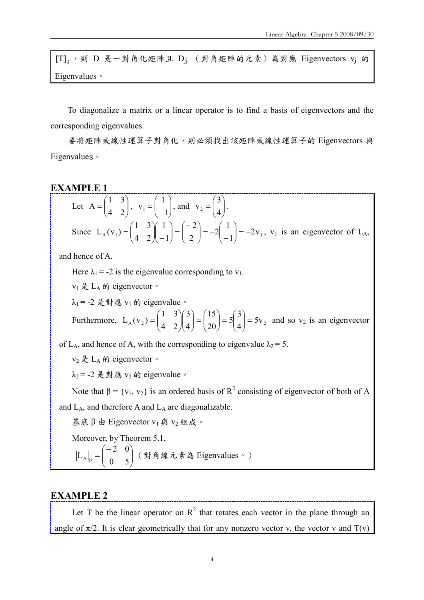[T] $_{\beta}$ ,則 D 是一對角化矩陣且 D $_{jj}$  (對角矩陣的元素)為對應 Eigenvectors v<sub>j</sub> 的 Eigenvalues。

To diagonalize a matrix or a linear operator is to find a basis of eigenvectors and the corresponding eigenvalues.

要將矩陣或線性運算子對角化,則必須找出該矩陣或線性運算子的 Eigenvectors 與 Eigenvalues。

#### EXAMPLE 1

Let 
$$
A = \begin{pmatrix} 1 & 3 \ 4 & 2 \end{pmatrix}
$$
,  $v_1 = \begin{pmatrix} 1 \ -1 \end{pmatrix}$ , and  $v_2 = \begin{pmatrix} 3 \ 4 \end{pmatrix}$ .  
\nSince  $L_A(v_1) = \begin{pmatrix} 1 & 3 \ 4 & 2 \end{pmatrix} \begin{pmatrix} 1 \ -1 \end{pmatrix} = \begin{pmatrix} -2 \ 2 \end{pmatrix} = -2 \begin{pmatrix} 1 \ -1 \end{pmatrix} = -2v_1$ ,  $v_1$  is an eigenvector of  $L_A$ ,

and hence of A.

Here  $\lambda_1 = -2$  is the eigenvalue corresponding to  $v_1$ .

 $v_1 \not\in L_A$  的 eigenvector。

 $λ_1 = -2$  是對應  $v_1$  的 eigenvalue。

Furthermore,  $L_A(v_2) = \begin{vmatrix} 1 & 2 \ 1 & 2 \end{vmatrix} = \begin{vmatrix} 2 & 2 \ 2 & 2 \end{vmatrix} = 5 \begin{vmatrix} 2 & 2 \ 1 & 2 \end{vmatrix} = 5v_2$ 4 3 5 20 15 4 3 4 2 1 3  $L_A(v_2) = \begin{vmatrix} 1 & 2 \ 4 & 2 \end{vmatrix} = \begin{vmatrix} 1 & 2 \ 20 & 1 \end{vmatrix} = 5 \begin{vmatrix} 2 \ 4 \end{vmatrix} =$  $\bigg)$  $\setminus$  $\overline{\phantom{a}}$  $\setminus$  $=5$  $\bigg)$  $\setminus$  $\overline{\phantom{a}}$  $\setminus$  $=$  $\bigg)$  $\setminus$  $\overline{\phantom{a}}$  $\setminus$ ſ  $\overline{\phantom{a}}$ J  $\backslash$  $\overline{\phantom{a}}$  $\setminus$  $=\begin{pmatrix} 1 & 3 \\ 1 & 2 \end{pmatrix} \begin{pmatrix} 3 \\ 4 \end{pmatrix} = \begin{pmatrix} 15 \\ 20 \end{pmatrix} = 5 \begin{pmatrix} 3 \\ 4 \end{pmatrix} = 5v_2$  and so  $v_2$  is an eigenvector

of L<sub>A</sub>, and hence of A, with the corresponding to eigenvalue  $\lambda_2 = 5$ .

 $v_2$ 是 L<sub>A</sub> 的 eigenvector。

 $\lambda_2$  = -2 是對應 v<sub>2</sub> 的 eigenvalue。

Note that  $\beta = \{v_1, v_2\}$  is an ordered basis of  $R^2$  consisting of eigenvector of both of A and  $L_A$ , and therefore A and  $L_A$  are diagonalizable.

基底 β 由 Eigenvector  $v_1$  與  $v_2$  組成。

Moreover, by Theorem 5.1,

$$
\left| L_A \right|_{\beta} = \begin{pmatrix} -2 & 0 \\ 0 & 5 \end{pmatrix} \text{ ($\frac{1}{2}$$\frac{1}{2}$$\frac{1}{2}$$\frac{1}{2}$$\frac{1}{2}$$\frac{1}{2}$$\frac{1}{2}$$\frac{1}{2}$$\frac{1}{2}$$\frac{1}{2}$$\frac{1}{2}$$\frac{1}{2}$$\frac{1}{2}$$\frac{1}{2}$$\frac{1}{2}$$\frac{1}{2}$$\frac{1}{2}$$\frac{1}{2}$$\frac{1}{2}$$\frac{1}{2}$$\frac{1}{2}$$\frac{1}{2}$$\frac{1}{2}$$\frac{1}{2}$$\frac{1}{2}$$\frac{1}{2}$$\frac{1}{2}$$\frac{1}{2}$$\frac{1}{2}$$\frac{1}{2}$$\frac{1}{2}$$\frac{1}{2}$$\frac{1}{2}$$\frac{1}{2}$$\frac{1}{2}$$\frac{1}{2}$$\frac{1}{2}$$\frac{1}{2}$$\frac{1}{2}$$\frac{1}{2}$$\frac{1}{2}$$\frac{1}{2}$$\frac{1}{2}$$\frac{1}{2}$$\frac{1}{2}$$\frac{1}{2}$$\frac{1}{2}$$\frac{1}{2}$$\frac{1}{2}$$\frac{1}{2}$$\frac{1}{2}$$\frac{1}{2}$$\frac{1}{2}$$\frac{1}{2}$$\frac{1}{2}$$\frac{1}{2}$$\frac{1}{2}$$\frac{1}{2}$$\frac{1}{2}$$\frac{1}{2}$$\frac{1}{2}$$\frac{1}{2}$$\frac{1}{2}$$\frac{1}{2}$$\frac{1}{2}$$\frac{1}{2}$$\frac{1}{2}$$\frac{1}{2}$$\frac{1}{2}$$\frac{1}{2}$$\frac{1}{2}$$\frac{1}{2}$$\frac{1}{2}$$\frac{1}{2}$$\frac{1}{2}$$\frac{1}{2}$$\frac{1}{2}$$\frac{1}{2}$$\frac{1}{2}$$\frac{1}{2}$$\frac{1}{2}$$\frac{1}{2}$$\frac{1}{2}$$\frac{1}{2}$$\frac{1}{2}$$\frac{1}{2}$$\frac{1}{2}$$\frac{1}{2}$$\frac{1}{2}$$\frac{1}{2}$$\frac{1}{2}$$\frac{1}{2}$$\frac{1}{2}$$\frac{1}{2}$$\frac{1}{2}$$\frac{1}{2}$$\frac{1}{2}$$\frac{1}{2}$$\frac{1}{2}$$\frac{1}{2}$$\frac{1}{2}$$\frac{1}{2}$$\frac{1}{2
$$

#### EXAMPLE 2

Let T be the linear operator on  $R^2$  that rotates each vector in the plane through an angle of  $\pi/2$ . It is clear geometrically that for any nonzero vector v, the vector v and  $T(v)$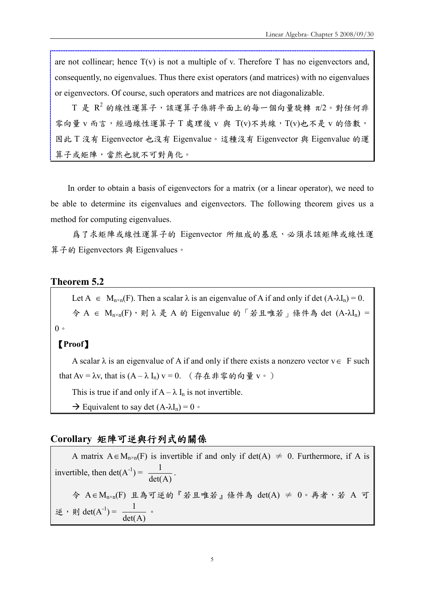are not collinear; hence  $T(v)$  is not a multiple of v. Therefore T has no eigenvectors and, consequently, no eigenvalues. Thus there exist operators (and matrices) with no eigenvalues or eigenvectors. Of course, such operators and matrices are not diagonalizable.

 $\text{T}$  是  $\text{R}^2$  的線性運算子,該運算子係將平面上的每一個向量旋轉  $\pi$ /2。對任何非 零向量 v 而言, 經過線性運算子 T 處理後 v 與 T(v)不共線, T(v)也不是 v 的倍數, 因此 T 沒有 Eigenvector 也沒有 Eigenvalue。這種沒有 Eigenvector 與 Eigenvalue 的運 算子或矩陣,當然也就不可對角化。

In order to obtain a basis of eigenvectors for a matrix (or a linear operator), we need to be able to determine its eigenvalues and eigenvectors. The following theorem gives us a method for computing eigenvalues.

為了求矩陣或線性運算子的 Eigenvector 所組成的基底,必須求該矩陣或線性運 算子的 Eigenvectors 與 Eigenvalues。

#### Theorem 5.2

Let  $A \in M_{n \times n}(F)$ . Then a scalar  $\lambda$  is an eigenvalue of A if and only if det  $(A - \lambda I_n) = 0$ .  $\hat{\varphi}$  A  $\in$   $M_{n\times n}(F)$ , 則  $\lambda$  是 A 的 Eigenvalue 的 「若且唯若」條件為 det  $(A-\lambda I_n)$  =  $0<sup>°</sup>$ 

#### 【Proof】

A scalar  $\lambda$  is an eigenvalue of A if and only if there exists a nonzero vector  $v \in F$  such that Av = λv, that is  $(A - \lambda I_n)$  v = 0. (存在非零的向量 v。)

This is true if and only if  $A - \lambda I_n$  is not invertible.

 $\rightarrow$  Equivalent to say det  $(A-\lambda I_n) = 0$ .

#### Corollary 矩陣可逆與行列式的關係

A matrix  $A \in M_{n \times n}(F)$  is invertible if and only if det(A)  $\neq 0$ . Furthermore, if A is invertible, then  $det(A^{-1}) =$ det(A)  $\frac{1}{\sqrt{11}}$ .  $\diamondsuit$  A∈M<sub>n×n</sub>(F) 且為可逆的『若且唯若』條件為 det(A) ≠ 0。再者, 若 A 可 逆,則 det $(A^{-1}) =$ det(A)  $\frac{1}{\cdots}$  .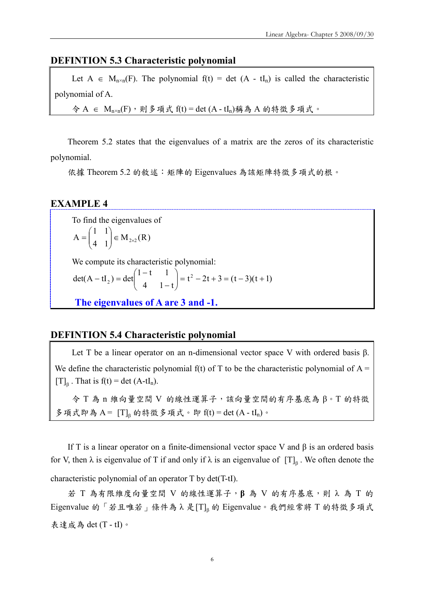#### DEFINTION 5.3 Characteristic polynomial

Let  $A \in M_{n \times n}(F)$ . The polynomial  $f(t) = det (A - tI_n)$  is called the characteristic polynomial of A.

 $\hat{\varphi}$  A ∈ M<sub>n×n</sub>(F),則多項式 f(t) = det (A - tI<sub>n</sub>)稱為 A 的特徵多項式。

Theorem 5.2 states that the eigenvalues of a matrix are the zeros of its characteristic polynomial.

依據 Theorem 5.2 的敘述: 矩陣的 Eigenvalues 為該矩陣特徵多項式的根。

#### EXAMPLE 4

To find the eigenvalues of  $M_{2\times2}(R)$ 4 1 1 1  $A = \begin{pmatrix} 1 & 1 \\ 4 & 1 \end{pmatrix} \in M_{2\times 2}$ J  $\setminus$  $\overline{\phantom{a}}$  $\setminus$  $=$ 

We compute its characteristic polynomial:

$$
\det(A - tI_2) = \det\begin{pmatrix} 1 - t & 1 \\ 4 & 1 - t \end{pmatrix} = t^2 - 2t + 3 = (t - 3)(t + 1)
$$

The eigenvalues of A are 3 and -1.

#### DEFINTION 5.4 Characteristic polynomial

Let T be a linear operator on an n-dimensional vector space V with ordered basis β. We define the characteristic polynomial  $f(t)$  of T to be the characteristic polynomial of  $A =$ [T]<sub> $\beta$ </sub>. That is f(t) = det (A-tI<sub>n</sub>).

令 T 為 n 維向量空間 V 的線性運算子,該向量空間的有序基底為 β。T 的特徵 多項式即為 A =  $[T]_p$  的特徵多項式。即 f(t) = det (A - tIn)。

If T is a linear operator on a finite-dimensional vector space V and  $\beta$  is an ordered basis for V, then  $\lambda$  is eigenvalue of T if and only if  $\lambda$  is an eigenvalue of  $[T]_{\beta}$ . We often denote the characteristic polynomial of an operator T by det(T-tI).

若 T 為有限維度向量空間 V 的線性運算子,β 為 V 的有序基底,則 λ 為 T 的 Eigenvalue 的「若且唯若」條件為λ是[T]β 的 Eigenvalue。我們經常將 T 的特徵多項式 表達成為 det (T - tI)。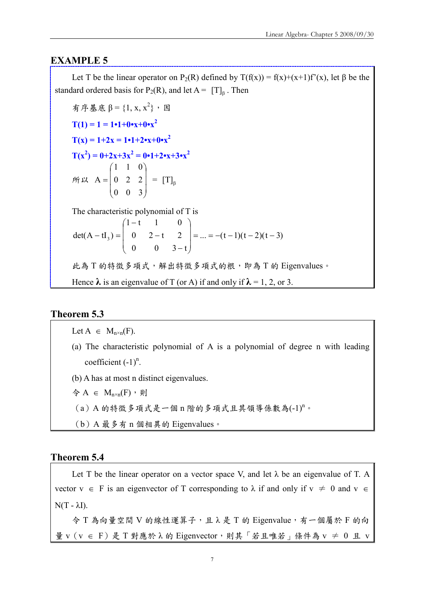#### EXAMPLE 5

Let T be the linear operator on P<sub>2</sub>(R) defined by  $T(f(x)) = f(x)+(x+1)f'(x)$ , let β be the standard ordered basis for P<sub>2</sub>(R), and let  $A = [T]_p$ . Then

有序基底 β = {1, x, x<sup>2</sup>}</sub>, 因  $T(1) = 1 = 1 \cdot 1 + 0 \cdot x + 0 \cdot x^2$  $T(x) = 1+2x = 1 \cdot 1 + 2 \cdot x + 0 \cdot x^2$  $T(x^2) = 0 + 2x + 3x^2 = 0 \cdot 1 + 2 \cdot x + 3 \cdot x^2$ 所以  $\overline{\phantom{a}}$  $\overline{\phantom{a}}$  $\overline{\phantom{a}}$ J  $\backslash$  $\mathsf{I}$  $\mathsf{I}$  $\mathbf{r}$  $\setminus$ ſ = 0 0 3 0 2 2 1 1 0  $A = \begin{pmatrix} 0 & 2 & 2 \end{pmatrix} = [\text{T}]_B$ The characteristic polynomial of T is ... =  $-(t-1)(t-2)(t-3)$ 0  $0 \t 3-t$ 0 2 - t 2  $1 - t$  1 0 det(A - tI<sub>3</sub>) =  $\begin{vmatrix} 0 & 2-t & 2 \end{vmatrix}$  = ... = -(t-1)(t-2)(t- $\overline{\phantom{a}}$  $\overline{\phantom{a}}$  $\overline{\phantom{a}}$ J  $\backslash$  $\mathsf{I}$  $\mathsf{I}$  $\mathbf{r}$  $\setminus$ ſ − − −  $-\mathrm{tI}_{3}$ ) = 此為 T 的特徵多項式,解出特徵多項式的根,即為 T 的 Eigenvalues。 Hence  $\lambda$  is an eigenvalue of T (or A) if and only if  $\lambda = 1, 2,$  or 3.

#### Theorem 5.3

Let  $A \in M_{n \times n}(F)$ .

- (a) The characteristic polynomial of A is a polynomial of degree n with leading coefficient  $(-1)^n$ .
- (b) A has at most n distinct eigenvalues.

$$
\diamondq A \in M_{n \times n}(F) \cdot \text{H}
$$

- (a) A 的特徵多項式是一個 n 階的多項式且其領導係數為(-1)<sup>n</sup>。
- (b)A 最多有 n 個相異的 Eigenvalues。

#### Theorem 5.4

Let T be the linear operator on a vector space V, and let  $\lambda$  be an eigenvalue of T. A vector  $v \in F$  is an eigenvector of T corresponding to  $\lambda$  if and only if  $v \neq 0$  and  $v \in$  $N(T - \lambda I)$ .

令 T 為向量空間 V 的線性運算子,且 λ 是 T 的 Eigenvalue,有一個屬於 F 的向 量 v(v ∈ F)是 T 對應於 λ 的 Eigenvector,則其「若且唯若」條件為 v ≠ 0 且 v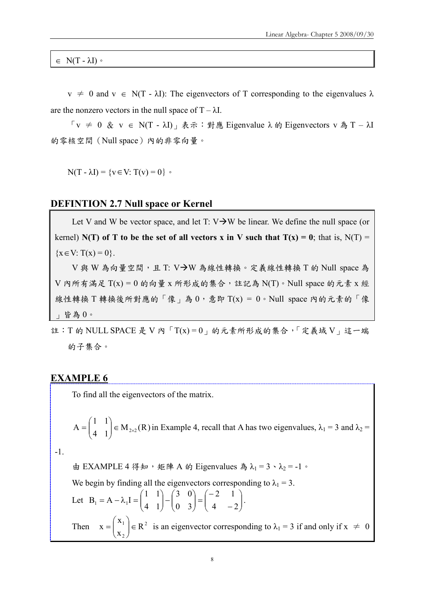$\in N(T - \lambda I)$ 

 $v \neq 0$  and  $v \in N(T - \lambda I)$ : The eigenvectors of T corresponding to the eigenvalues  $\lambda$ are the nonzero vectors in the null space of  $T - \lambda I$ .

「v ≠ 0 & v ∈ N(T - λI)」表示:對應 Eigenvalue λ 的 Eigenvectors v 為 T – λI 的零核空間(Null space)內的非零向量。

 $N(T - \lambda I) = \{v \in V: T(v) = 0\}$ 

#### DEFINTION 2.7 Null space or Kernel

Let V and W be vector space, and let T:  $V \rightarrow W$  be linear. We define the null space (or kernel) N(T) of T to be the set of all vectors x in V such that  $T(x) = 0$ ; that is, N(T) =  ${x \in V: T(x) = 0}.$ 

 $V$ 與 W 為向量空間,且 T:  $V\rightarrow W$ 為線性轉換。定義線性轉換 T 的 Null space 為  $V$  內所有滿足  $T(x) = 0$  的向量 x 所形成的集合,註記為  $N(T) \cdot N$ ull space 的元素 x 經 線性轉換 T轉換後所對應的「像」為 0,意即 T(x) = 0。Null space 内的元素的「像 」皆為 0。

註:T 的 NULL SPACE 是 V 內「T(x) = 0」的元素所形成的集合,「定義域 V」這一端 的子集合。

#### EXAMPLE 6

To find all the eigenvectors of the matrix.

$$
A = \begin{pmatrix} 1 & 1 \\ 4 & 1 \end{pmatrix} \in M_{2\times 2}(R)
$$
 in Example 4, recall that A has two eigenvalues,  $\lambda_1 = 3$  and  $\lambda_2 =$ 

-1.

由 EXAMPLE 4 得知, 矩陣 A 的 Eigenvalues 為  $\lambda_1 = 3 \cdot \lambda_2 = -1$ 。

We begin by finding all the eigenvectors corresponding to  $\lambda_1 = 3$ .

Let 
$$
B_1 = A - \lambda_1 I = \begin{pmatrix} 1 & 1 \\ 4 & 1 \end{pmatrix} - \begin{pmatrix} 3 & 0 \\ 0 & 3 \end{pmatrix} = \begin{pmatrix} -2 & 1 \\ 4 & -2 \end{pmatrix}
$$
.  
\nThen  $x = \begin{pmatrix} x_1 \\ x_2 \end{pmatrix} \in R^2$  is an eigenvector corresponding to  $\lambda_1 = 3$  if and only if  $x \neq 0$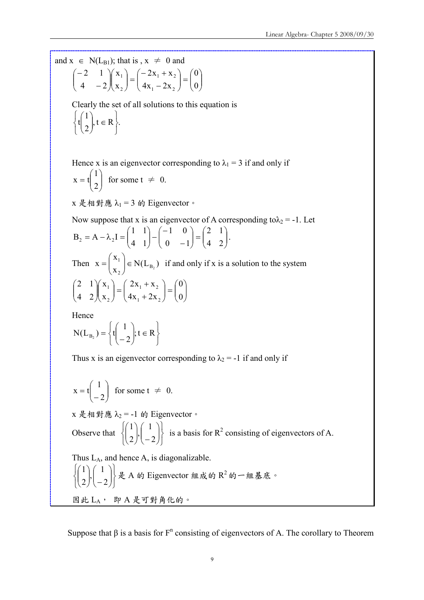and  $x \in N(L_{B1})$ ; that is,  $x \neq 0$  and

2

 $\setminus$ 

J

 $\overline{\mathcal{L}}$ 

$$
\begin{pmatrix} -2 & 1 \ 4 & -2 \ \end{pmatrix} \begin{pmatrix} x_1 \ x_2 \end{pmatrix} = \begin{pmatrix} -2x_1 + x_2 \ 4x_1 - 2x_2 \end{pmatrix} = \begin{pmatrix} 0 \ 0 \end{pmatrix}
$$

Clearly the set of all solutions to this equation is ,  $t \in R$  }. 1 t  $\left\{ \right.$  $\begin{matrix} \end{matrix}$ ⇃  $\int$  $t \in$  $\setminus$  $\overline{\phantom{a}}$ ſ

Hence x is an eigenvector corresponding to  $\lambda_1 = 3$  if and only if

$$
x = t \begin{pmatrix} 1 \\ 2 \end{pmatrix}
$$
 for some  $t \neq 0$ .

 $\int$ 

 $x \not\in \mathcal{H}$  對應  $\lambda_1 = 3$  的 Eigenvector。

Now suppose that x is an eigenvector of A corresponding to  $\lambda_2 = -1$ . Let  $\overline{\phantom{a}}$  $\bigg)$  $\setminus$  $\overline{\phantom{a}}$  $\setminus$  $=$  $\bigg)$  $\setminus$  $\overline{\phantom{a}}$  $\setminus$ ſ − − −  $\bigg)$  $\setminus$  $\overline{\phantom{a}}$  $\setminus$  $= A - \lambda_2 I =$ 4 2 2 1  $0 -1$ 1 0 4 1 1 1  $B_2 = A - \lambda_2 I = \begin{vmatrix} 1 & 1 \\ 1 & 1 \end{vmatrix} - \begin{vmatrix} 0 & 1 \\ 0 & 1 \end{vmatrix} = \begin{vmatrix} 1 & 1 \\ 1 & 2 \end{vmatrix}$ . Then  $x = \begin{vmatrix} 1 \\ 1 \end{vmatrix} \in N(L_{B_2})$ x x  $X = \begin{pmatrix} 1 \\ X_2 \end{pmatrix} \in N(L_{B_2})$  $\left| \begin{array}{c} 1 \\ \end{array} \right| \in$ J  $\setminus$  $\overline{\phantom{a}}$  $\setminus$  $=\binom{x_1}{\in}$   $\in$  N(L<sub>B<sub>2</sub></sub>) if and only if x is a solution to the system  $\overline{\phantom{a}}$  $\bigg)$  $\setminus$  $\overline{\phantom{a}}$  $\setminus$  $=$ J  $\setminus$  $\overline{\phantom{a}}$  $\setminus$ ſ + +  $\Big| =$ J  $\setminus$  $\overline{\phantom{a}}$  $\setminus$ ſ  $\overline{\phantom{a}}$  $\bigg)$  $\setminus$  $\overline{\phantom{a}}$  $\setminus$ ſ 0 0  $4x_1 + 2x$  $2x_1 + x$ x x 4 2 2 1  $1 + 2\lambda_2$  $1 + \Lambda_2$ 2 1

Hence

$$
N(L_{B_2}) = \left\{ t \begin{pmatrix} 1 \\ -2 \end{pmatrix}; t \in R \right\}
$$

Thus x is an eigenvector corresponding to  $\lambda_2 = -1$  if and only if

$$
x = t \begin{pmatrix} 1 \\ -2 \end{pmatrix}
$$
 for some  $t \neq 0$ .  
\n
$$
x \nleftrightarrow \mathbb{R} \nleftrightarrow \mathbb{R} \mathbb{A}_2 = -1 \nleftrightarrow
$$
 Eigenvector  
\nObserve that  $\begin{cases} \begin{pmatrix} 1 \\ 2 \end{pmatrix}, \begin{pmatrix} 1 \\ -2 \end{pmatrix} \end{cases}$  is a basis for  $R^2$  consisting of eigenvectors of A.  
\nThus L<sub>A</sub>, and hence A, is diagonalizable.  
\n $\begin{cases} \begin{pmatrix} 1 \\ 2 \end{pmatrix}, \begin{pmatrix} 1 \\ -2 \end{pmatrix} \end{cases} \nleftrightarrow \mathbb{R} \nleftrightarrow$   $R^2$   $\mathbb{A} \nleftrightarrow \mathbb{A} \nleftrightarrow \mathbb{B} \mathbb{A}$   
\n $\mathbb{B} \nleftrightarrow L_A$ ,  $\mathbb{B} \nleftrightarrow \mathbb{R} \nleftrightarrow \mathbb{B} \nleftrightarrow \mathbb{B} \nleftrightarrow \mathbb{B} \nleftrightarrow \mathbb{B} \nleftrightarrow \mathbb{B} \nleftrightarrow \mathbb{B} \nleftrightarrow \mathbb{B} \nleftrightarrow \mathbb{B} \nleftrightarrow \mathbb{B} \nleftrightarrow \mathbb{B} \nleftrightarrow \mathbb{B} \nleftrightarrow \mathbb{B} \nleftrightarrow \mathbb{B} \nleftrightarrow \mathbb{B} \nleftrightarrow \mathbb{B} \nleftrightarrow \mathbb{B} \nleftrightarrow \mathbb{B} \nleftrightarrow \mathbb{B} \nleftrightarrow \mathbb{B} \nleftrightarrow \mathbb{B} \nleftrightarrow \mathbb{B} \nleftrightarrow \mathbb{B} \nleftrightarrow \mathbb{B} \nleftrightarrow \mathbb{B} \nleftrightarrow \mathbb{B} \nleftrightarrow \mathbb{B} \nleftrightarrow \mathbb{B} \nleftrightarrow \mathbb{B} \nleftrightarrow \mathbb{B} \nleftrightarrow \mathbb{B} \nleftrightarrow \mathbb{B} \nleftrightarrow \mathbb{B} \nleftrightarrow \mathbb{B} \nleftrightarrow \mathbb{B} \nleftrightarrow \mathbb{B} \nleftrightarrow \mathbb{B} \nleftrightarrow \mathbb{B} \nleftrightarrow \mathbb{B} \nleftrightarrow \mathbb{B} \nleftrightarrow \mathbb{B} \nleftrightarrow \mathbb{B} \nleftrightarrow \mathbb{B} \nleftrightarrow \mathbb{B} \nleftrightarrow \mathbb{B} \nleftrightarrow \mathbb{B} \nleftrightarrow \mathbb{B} \nleftrightarrow \mathbb{B} \nleftrightarrow \mathbb{B} \nleftrightarrow \mathbb{B}$ 

Suppose that  $\beta$  is a basis for  $F^n$  consisting of eigenvectors of A. The corollary to Theorem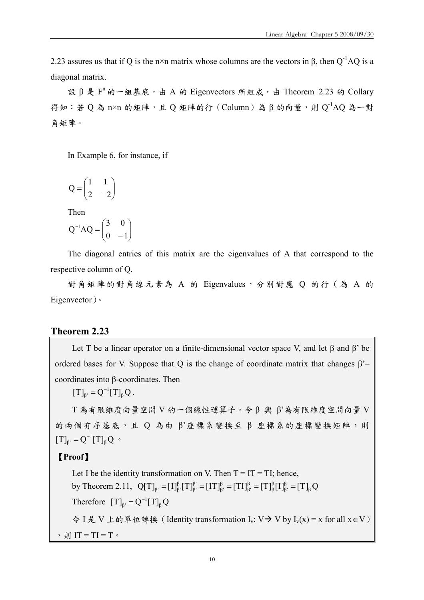2.23 assures us that if Q is the n×n matrix whose columns are the vectors in  $\beta$ , then  $Q^{-1}AQ$  is a diagonal matrix.

設 β 是 F<sup>n</sup> 的一組基底,由 A 的 Eigenvectors 所組成,由 Theorem 2.23 的 Collary 得知︰若 Q 為 n×n 的矩陣,且 Q 矩陣的行(Column)為 β 的向量,則 Q $^{\text{-}1}$ AQ 為一對 角矩陣。

In Example 6, for instance, if

$$
Q = \begin{pmatrix} 1 & 1 \\ 2 & -2 \end{pmatrix}
$$

Then

$$
Q^{-1}AQ = \begin{pmatrix} 3 & 0 \\ 0 & -1 \end{pmatrix}
$$

The diagonal entries of this matrix are the eigenvalues of A that correspond to the respective column of Q.

對角矩陣的對角線元素為 A 的 Eigenvalues,分別對應 Q 的行 (為 A 的 Eigenvector)。

#### Theorem 2.23

Let T be a linear operator on a finite-dimensional vector space V, and let β and β' be ordered bases for V. Suppose that Q is the change of coordinate matrix that changes  $\beta$ '– coordinates into β-coordinates. Then

 $[T]_{\beta'} = Q^{-1}[T]_{\beta} Q$  $_{\beta'} = Q^{-1}[T]_{\beta} Q$ .

T 為有限維度向量空間 V 的一個線性運算子,令 β 與 β'為有限維度空間向量 V 的兩個有序基底,且 Q 為由 β'座標系變換至 β 座標系的座標變換矩陣,則  $[T]_{\beta'} = Q^{-1}[T]_{\beta} Q$  $_{\beta'} = Q^{-1}[T]_{\beta} Q$  •

#### 【Proof】

Let I be the identity transformation on V. Then  $T = IT = TI$ ; hence, by Theorem 2.11,  $Q[T]_{\beta'} = [I]^{\beta}_{\beta'} [T]^{\beta'}_{\beta'} = [IT]^{\beta}_{\beta'} = [TI]^{\beta}_{\beta'} = [T]^{\beta}_{\beta} [I]^{\beta}_{\beta'} = [T]_{\beta} Q$ β β β β β β β β β β  $\mathbf{p}_{\beta} = [\mathbf{I}]^{\beta}_{\beta'}[\mathbf{T}]^{\beta'}_{\beta'} = [\mathbf{I}\mathbf{T}]^{\beta}_{\beta'} = [\mathbf{T}\mathbf{I}]^{\beta}_{\beta'} = [\mathbf{T}\mathbf{I}^{\beta}_{\beta'}[\mathbf{I}]^{\beta}_{\beta'} =$ Therefore  $[T]_{\beta} = Q^{-1}[T]_{\beta} Q$  $_{\beta'} = Q^-$ 令 I 是 V 上的單位轉換(Identity transformation Iv: V V by Iv(x) = x for all x∈V) , 則  $IT = TI = T$ 。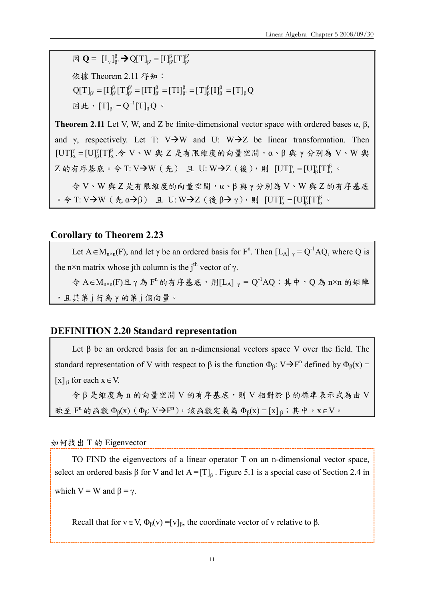$\boxtimes \mathbf{Q} = [\mathbf{I}_{v}]_{\beta}^{\beta} \rightarrow \mathbf{Q}[\mathbf{T}]_{\beta} = [\mathbf{I}]_{\beta}^{\beta}[\mathbf{T}]_{\beta}^{\beta}$ β  $_{\beta'} = [I]^{\beta}_{\beta}$ 

依據 Theorem 2.11 得知:

 $Q[T]_{\beta'} = [I]^{\beta}_{\beta'} [T]^{\beta'}_{\beta'} = [IT]^{\beta}_{\beta'} = [TI]^{\beta}_{\beta'} = [T]^{\beta}_{\beta} [I]^{\beta}_{\beta'} = [T]_{\beta} Q$ β β β β β β β β β β  $\mathbf{p}_{\beta} = [\mathbf{I}]^{\beta}_{\beta'}[\mathbf{T}]^{\beta'}_{\beta'} = [\mathbf{I}\mathbf{T}]^{\beta}_{\beta'} = [\mathbf{T}\mathbf{I}]^{\beta}_{\beta'} = [\mathbf{T}\mathbf{I}^{\beta}_{\beta'}[\mathbf{I}]^{\beta}_{\beta'} =$ 

因此,  $[T]_{β'} = Q^{-1}[T]_{β}Q$  $_{\beta'} = Q^{-1}[T]_{\beta} Q$  •

Theorem 2.11 Let V, W, and Z be finite-dimensional vector space with ordered bases  $\alpha$ ,  $\beta$ , and γ, respectively. Let T: V $\rightarrow$ W and U: W $\rightarrow$ Z be linear transformation. Then β α γ β  $[UT]^\gamma_\alpha = [U]^\gamma_\beta [T]^\beta_\alpha.$ 令 V、W 與 Z 是有限維度的向量空間, α、β 與 γ 分別為 V、W 與 Z 的有序基底。令 T: V→W(先) 且 U: W→Z(後),則 [UT] $^{\gamma}_{\alpha} = [U]_{\beta}^{\gamma} [T]_{\alpha}^{\beta}$ γ β  $\left[\mathrm{UT}\right]_{\alpha}^{\gamma} = \left[\mathrm{U}\right]_{\beta}^{\gamma} \left[\mathrm{T}\right]_{\alpha}^{\beta}$  .

令 V、W 與 Z 是有限維度的向量空間,α、β 與 γ 分別為 V、W 與 Z 的有序基底  $\cdot$  令 T: V  $\rightarrow$  W ( 先 α  $\rightarrow$  β) <br>
且 U: W  $\rightarrow$  Z ( 後 β  $\rightarrow$  γ), 則 [UT] $^{\gamma}_{\alpha}$  = [U] $^{\gamma}_{\beta}$ [T] $^{\beta}_{\alpha}$ γ β  $\left[\mathrm{UT}\right]_{\alpha}^{\gamma} = \left[\mathrm{U}\right]_{\beta}^{\gamma} \left[\mathrm{T}\right]_{\alpha}^{\beta}$  .

#### Corollary to Theorem 2.23

Let  $A \in M_{n \times n}(F)$ , and let  $\gamma$  be an ordered basis for  $F^n$ . Then  $[L_A]_{\gamma} = Q^{-1}AQ$ , where Q is the n×n matrix whose jth column is the j<sup>th</sup> vector of  $\gamma$ .

令 A∈M<sub>n×n</sub>(F)且γ為 F<sup>n</sup> 的有序基底,則[L<sub>A</sub>] <sub>γ</sub> = Q<sup>-1</sup>AQ;其中,Q 為 n×n 的矩陣 ,且其第 j 行為 γ 的第 j 個向量。

#### DEFINITION 2.20 Standard representation

Let  $\beta$  be an ordered basis for an n-dimensional vectors space V over the field. The standard representation of V with respect to  $\beta$  is the function  $\Phi_{\beta}$ : V $\rightarrow$ F<sup>n</sup> defined by  $\Phi_{\beta}(x)$  =  $[x]_8$  for each  $x \in V$ .

令 β 是維度為 n 的向量空間 V 的有序基底,則 V 相對於 β 的標準表示式為由 V 映至  $F^n$  的函數  $\Phi_\beta(x)$  ( $\Phi_\beta: V\rightarrow F^n$ ),該函數定義為  $\Phi_\beta(x) = [x]_\beta$ ;其中,  $x \in V$ 。

如何找出 T 的 Eigenvector

TO FIND the eigenvectors of a linear operator T on an n-dimensional vector space, select an ordered basis  $\beta$  for V and let  $A = [T]_{\beta}$ . Figure 5.1 is a special case of Section 2.4 in which  $V = W$  and  $\beta = \gamma$ .

Recall that for  $v \in V$ ,  $\Phi_B(v) = [v]_B$ , the coordinate vector of v relative to  $\beta$ .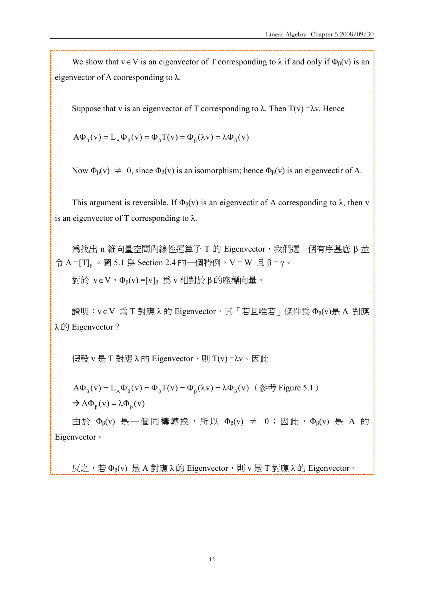We show that  $v \in V$  is an eigenvector of T corresponding to  $\lambda$  if and only if  $\Phi_B(v)$  is an eigenvector of A cooresponding to  $\lambda$ .

Suppose that v is an eigenvector of T corresponding to  $\lambda$ . Then T(v) =λv. Hence

 $A\Phi_B(v) = L_A\Phi_B(v) = \Phi_B T(v) = \Phi_B(\lambda v) = \lambda \Phi_B(v)$ 

Now  $\Phi_B(v) \neq 0$ , since  $\Phi_B(v)$  is an isomorphism; hence  $\Phi_B(v)$  is an eigenvectir of A.

This argument is reversible. If  $\Phi_{\beta}(v)$  is an eigenvectir of A corresponding to  $\lambda$ , then v is an eigenvector of T corresponding to  $\lambda$ .

為找出 n 維向量空間內線性運算子 T 的 Eigenvector,我們選一個有序基底 β 並 令 A = [T] $_{\textrm{\tiny{\rm{\beta}}}}$ 。圖 5.1 為 Section 2.4 的一個特例,V = W 且 β = γ。

對於 v∈V,Φβ(v) =[v]<sup>β</sup> 為 v 相對於 β 的座標向量。

證明: v∈V 為 T 對應 λ 的 Eigenvector, 其 「若且唯若」條件為 Φβ(v)是 A 對應 λ 的 Eigenvector?

假設 v 是 T 對應 λ 的 Eigenvector, 則 T(v) =λv。因此

 $A\Phi_{\beta}(v) = L_{A}\Phi_{\beta}(v) = \Phi_{\beta}(Tv) = \Phi_{\beta}(\lambda v) = \lambda \Phi_{\beta}(v)$  (參考 Figure 5.1)  $\rightarrow$  A $\Phi_{\beta}(v) = \lambda \Phi_{\beta}(v)$ 

由於 Φβ(v) 是一個同構轉換,所以 Φβ(v) ≠ 0;因此,Φβ(v) 是 A 的 Eigenvector。

反之,若 Φβ(v) 是 A 對應 λ 的 Eigenvector,則 v 是 T 對應 λ 的 Eigenvector。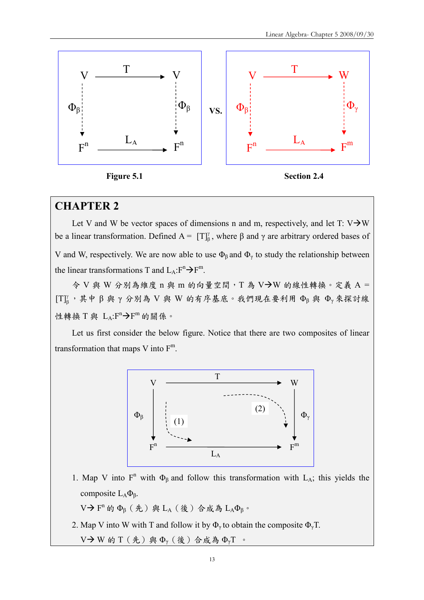

## CHAPTER 2

Let V and W be vector spaces of dimensions n and m, respectively, and let T:  $V\rightarrow W$ be a linear transformation. Defined  $A = [T]_B^{\gamma}$ , where  $\beta$  and  $\gamma$  are arbitrary ordered bases of V and W, respectively. We are now able to use  $\Phi_{\beta}$  and  $\Phi_{\gamma}$  to study the relationship between the linear transformations T and  $L_A: F^n \to F^m$ .

令 V 與 W 分別為維度 n 與 m 的向量空間, T 為 V→W 的線性轉換。定義 A = γ [T] $_{\beta}^{\gamma}$ , 其中β與γ分別為 V與 W 的有序基底。我們現在要利用 Φβ與 Φγ來探討線 性轉換 T 與  $L_A: F^n \rightarrow F^m$ 的關係。

Let us first consider the below figure. Notice that there are two composites of linear transformation that maps V into  $F<sup>m</sup>$ .



1. Map V into  $F^n$  with  $\Phi_\beta$  and follow this transformation with  $L_A$ ; this yields the composite LAΦβ.

V →  $F^n$  的  $Φ_β$  (先) 與 L<sub>A</sub> (後) 合成為 L<sub>A</sub> $Φ_β$ 。

2. Map V into W with T and follow it by  $\Phi_{\gamma}$  to obtain the composite  $\Phi_{\gamma}$ T.

V  $\rightarrow$  W 的 T (先) 與  $\Phi_{\nu}$  (後) 合成為  $\Phi_{\nu}$ T 。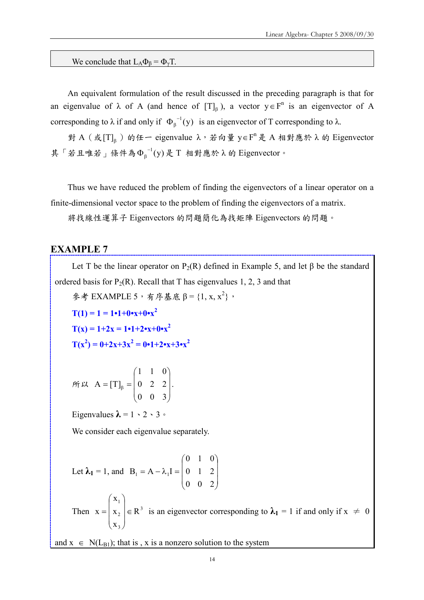We conclude that  $L_A \Phi_B = \Phi_{\gamma} T$ .

An equivalent formulation of the result discussed in the preceding paragraph is that for an eigenvalue of  $\lambda$  of A (and hence of  $[T]_p$ ), a vector  $y \in F^n$  is an eigenvector of A corresponding to  $\lambda$  if and only if  $\Phi_{\beta}^{-1}(y)$  is an eigenvector of T corresponding to  $\lambda$ .

對 A (或 [T]<sub>β</sub>) 的任一 eigenvalue λ, 若向量 y∈F<sup>n</sup>是 A 相對應於 λ 的 Eigenvector 其「若且唯若」條件為 $\Phi_\beta^{-1}(y)$ 是 T 相對應於 λ 的 Eigenvector。

Thus we have reduced the problem of finding the eigenvectors of a linear operator on a finite-dimensional vector space to the problem of finding the eigenvectors of a matrix.

將找線性運算子 Eigenvectors 的問題簡化為找矩陣 Eigenvectors 的問題。

#### EXAMPLE 7

Let T be the linear operator on  $P_2(R)$  defined in Example 5, and let  $\beta$  be the standard ordered basis for  $P_2(R)$ . Recall that T has eigenvalues 1, 2, 3 and that

參考 EXAMPLE 5, 有序基底 β = {1, x, x<sup>2</sup>},

$$
T(1) = 1 = 1 \cdot 1 + 0 \cdot x + 0 \cdot x^{2}
$$
  
\n
$$
T(x) = 1 + 2x = 1 \cdot 1 + 2 \cdot x + 0 \cdot x^{2}
$$
  
\n
$$
T(x^{2}) = 0 + 2x + 3x^{2} = 0 \cdot 1 + 2 \cdot x + 3 \cdot x^{2}
$$

$$
\hat{m} \times A = [T]_{\beta} = \begin{pmatrix} 1 & 1 & 0 \\ 0 & 2 & 2 \\ 0 & 0 & 3 \end{pmatrix}.
$$

Eigenvalues  $\lambda = 1 \cdot 2 \cdot 3$ 

We consider each eigenvalue separately.

Let 
$$
\lambda_1 = 1
$$
, and  $B_1 = A - \lambda_1 I = \begin{pmatrix} 0 & 1 & 0 \\ 0 & 1 & 2 \\ 0 & 0 & 2 \end{pmatrix}$ 

Then  $x = |x_2| \in R^3$ 3 2 1 R x x x  $\mathbf{x} = \begin{pmatrix} x_2 \end{pmatrix} \in$  $\overline{\phantom{a}}$  $\overline{\phantom{a}}$  $\overline{\phantom{a}}$ J  $\setminus$  $\mathsf{I}$  $\mathsf{I}$  $\mathsf{I}$  $\setminus$ ſ  $=$   $x_2$   $\in$  R<sup>3</sup> is an eigenvector corresponding to  $\lambda_1 = 1$  if and only if  $x \neq 0$ 

and  $x \in N(L_{B1})$ ; that is, x is a nonzero solution to the system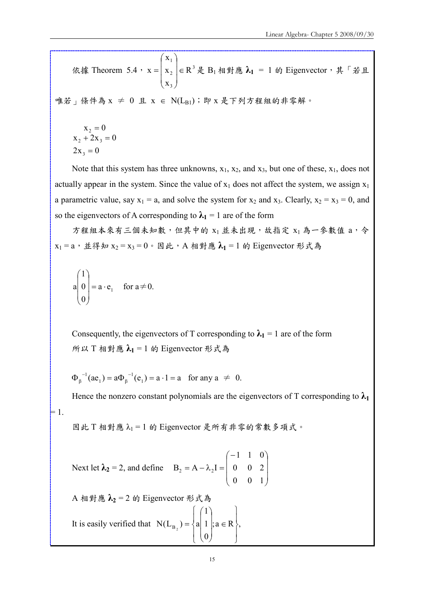依據 Theorem 5.4,  $x = |x_2| \in R^3$ 3 2 1 R x x x  $\mathbf{x} = \begin{pmatrix} x_2 \end{pmatrix} \in$  $\overline{\phantom{a}}$  $\overline{\phantom{a}}$  $\overline{\phantom{a}}$  $\bigg)$  $\setminus$  $\mathsf{I}$  $\overline{\phantom{a}}$  $\mathsf{I}$  $\setminus$ ſ  $= |x_2|$ ∈ $R^3$ 是  $B_1$  相對應  $\boldsymbol{\lambda_1}$  = 1 的 Eigenvector,其「若且 唯若」條件為 x ≠ 0 且 x ∈ N(LB1); 即 x 是下列方程組的非零解。

$$
x2 = 0
$$
  

$$
x2 + 2x3 = 0
$$
  

$$
2x3 = 0
$$

Note that this system has three unknowns,  $x_1$ ,  $x_2$ , and  $x_3$ , but one of these,  $x_1$ , does not actually appear in the system. Since the value of  $x_1$  does not affect the system, we assign  $x_1$ a parametric value, say  $x_1 = a$ , and solve the system for  $x_2$  and  $x_3$ . Clearly,  $x_2 = x_3 = 0$ , and so the eigenvectors of A corresponding to  $\lambda_1 = 1$  are of the form

方程組本來有三個未知數,但其中的 x1 並未出現,故指定 x1 為一參數值 a,今  $x_1 = a$ , 並得知  $x_2 = x_3 = 0$ 。因此, A 相對應  $\lambda_1 = 1$  的 Eigenvector 形式為

$$
a\begin{pmatrix} 1 \\ 0 \\ 0 \end{pmatrix} = a \cdot e_1 \quad \text{for } a \neq 0.
$$

Consequently, the eigenvectors of T corresponding to  $\lambda_1 = 1$  are of the form 所以 T 相對應 λ<sup>1</sup> = 1 的 Eigenvector 形式為

 $(ae_1) = a\Phi_{\beta}^{-1}(e_1) = a \cdot 1 = a$  $\Phi_{\beta}^{-1}(ae_1) = a\Phi_{\beta}^{-1}(e_1) = a \cdot 1 =$ β −  $\beta_{\beta}^{-1}(ae_1) = a\Phi_{\beta}^{-1}(e_1) = a \cdot 1 = a$  for any  $a \neq 0$ .

Hence the nonzero constant polynomials are the eigenvectors of T corresponding to  $\lambda_1$  $\vDash$  1.

因此 T 相對應 λ1 = 1 的 Eigenvector 是所有非零的常數多項式。

Next let 
$$
\lambda_2 = 2
$$
, and define  $B_2 = A - \lambda_2 I = \begin{pmatrix} -1 & 1 & 0 \\ 0 & 0 & 2 \\ 0 & 0 & 1 \end{pmatrix}$ 

A 相對應  $\lambda_2$  = 2 的 Eigenvector 形式為 It is easily verified that  $N(L_{B_2}) = \{a | 1 | a \in R \}$ , 0 1 1  $N(L_{B_2}) = \begin{cases} a & 1 \\ 0 & a \end{cases}$  ;  $a \in R$  $\int$  $\overline{ }$  $\left\{ \right.$  $\overline{1}$  $\overline{ }$  $\overline{\mathcal{L}}$  $\overline{ }$ ┤  $\left\lceil \right\rceil$ ∈  $\overline{\phantom{a}}$  $\overline{\phantom{a}}$  $\overline{\phantom{a}}$  $\bigg)$  $\backslash$  $\overline{\phantom{a}}$  $\mathsf{I}$  $\mathsf{I}$  $\setminus$ ſ  $=\{a|1|;a\in R\},\$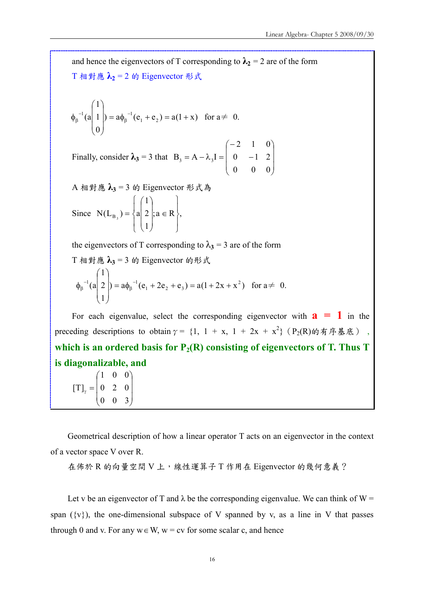and hence the eigenvectors of T corresponding to  $\lambda_2 = 2$  are of the form T 相對應 $\lambda_2 = 2$  的 Eigenvector 形式  $=$  a $\phi_8^{-1}(e_1 + e_2) = a(1 + x)$ 0 1 1  $(a | 1 |) = a\phi_{\beta}^{-1}(e_1 + e_2)$  $1^{1}$ (a| 1 |) =  $a\phi_{\beta}^{-1}$ (e<sub>1</sub> + e<sub>2</sub>) =  $a(1 +$  $\overline{\phantom{a}}$  $\overline{\phantom{a}}$  $\overline{\phantom{a}}$  $\bigg)$  $\setminus$  $\mathsf{I}$  $\mathsf{I}$  $\mathbf{r}$  $\setminus$ ſ  $\phi_8^{-1}$ (a| 1|) =  $a\phi_8^{-1}$ β −  $\beta_{\beta}^{-1}(a | 1 |) = a \phi_{\beta}^{-1}(e_1 + e_2) = a(1 + x)$  for  $a \neq 0$ . Finally, consider  $\lambda_3 = 3$  that  $\overline{\phantom{a}}$  $\overline{\phantom{a}}$  $\overline{\phantom{a}}$ J  $\setminus$  $\mathsf{I}$ L  $\mathsf{I}$  $\setminus$ ſ − −  $= A - \lambda_3 I =$ 0 0 0  $0 \t -1 \t 2$ 2 1 0  $B_3 = A - \lambda_3 I$  $A$  相對應  $\lambda_3 = 3$  的 Eigenvector 形式為 Since  $N(L_{B_n}) = \{a | 2 |; a \in R \}$ , 1 2 1  $N(L_{B_3}) = \begin{cases} a & 2 \\ 1 & a \end{cases}$ ;  $a \in R$ J  $\overline{ }$  $\left\{ \right.$  $\mathbf{I}$  $\overline{ }$  $\overline{\mathcal{L}}$  $\overline{ }$ ₹  $\left\lceil \right\rceil$ ∈  $\overline{\phantom{a}}$  $\overline{\phantom{a}}$  $\overline{\phantom{a}}$  $\bigg)$  $\setminus$  $\mathsf{I}$  $\mathbf{r}$  $\mathsf{I}$  $\setminus$ ſ  $=\{a\vert 2\vert; a\in\mathbb{R}\},\$ the eigenvectors of T corresponding to  $\lambda_3 = 3$  are of the form T 相對應  $\lambda_3 = 3$  的 Eigenvector 的形式  $=$  a $\phi_6^{-1}(e_1 + 2e_2 + e_3) = a(1 + 2x + x^2)$ 1 2 1  $(a | 2 |) = a\phi_8^{-1}(e_1 + 2e_2 + e_3) = a(1 + 2x + x^2)$  $1 + 2$   $2 + 3$  $1^1$ (a| 2 |) =  $a\phi_6^{-1}$ (e<sub>1</sub> + 2e<sub>2</sub> + e<sub>3</sub>) =  $a(1+2x +$  $\overline{\phantom{a}}$  $\overline{\phantom{a}}$  $\overline{\phantom{a}}$  $\bigg)$  $\backslash$  $\mathsf{I}$ L  $\mathsf{I}$  $\setminus$ ſ  $\phi_{\rm B}^{-1}$ (a| 2 |) =  $a\phi_{\rm B}^{-1}$ β −  $\int_{\beta}^{-1} (a | 2 |) = a \phi_{\beta}^{-1} (e_1 + 2e_2 + e_3) = a(1 + 2x + x^2)$  for  $a \neq 0$ . For each eigenvalue, select the corresponding eigenvector with  $a = 1$  in the preceding descriptions to obtain  $\gamma = \{1, 1 + x, 1 + 2x + x^2\}$  (P<sub>2</sub>(R)的有序基底), which is an ordered basis for  $P_2(R)$  consisting of eigenvectors of T. Thus T is diagonalizable, and  $\overline{\phantom{a}}$  $\overline{\phantom{a}}$  $\backslash$  $\mathsf{I}$  $\mathsf{I}$ ſ  $\gamma$  = 0 2 0 1 0 0  $\lbrack \text{T} \rbrack$ 

Geometrical description of how a linear operator T acts on an eigenvector in the context of a vector space V over R.

在佈於 R 的向量空間 V 上,線性運算子 T 作用在 Eigenvector 的幾何意義?

 $\overline{\phantom{a}}$ 

 $\mathsf{I}$ 

 $\setminus$ 

J

0 0 3

Let v be an eigenvector of T and  $\lambda$  be the corresponding eigenvalue. We can think of W = span  $({v})$ , the one-dimensional subspace of V spanned by v, as a line in V that passes through 0 and v. For any  $w \in W$ ,  $w = cv$  for some scalar c, and hence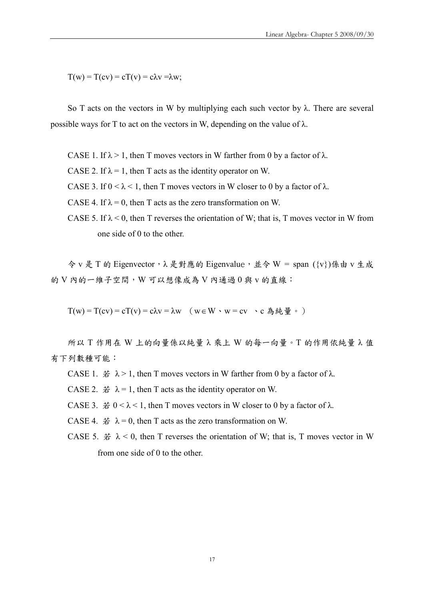$T(w) = T(cv) = cT(v) = c\lambda v = \lambda w$ ;

So T acts on the vectors in W by multiplying each such vector by  $\lambda$ . There are several possible ways for T to act on the vectors in W, depending on the value of  $\lambda$ .

CASE 1. If  $\lambda > 1$ , then T moves vectors in W farther from 0 by a factor of  $\lambda$ .

CASE 2. If  $\lambda = 1$ , then T acts as the identity operator on W.

CASE 3. If  $0 < \lambda < 1$ , then T moves vectors in W closer to 0 by a factor of  $\lambda$ .

CASE 4. If  $\lambda = 0$ , then T acts as the zero transformation on W.

CASE 5. If  $\lambda$  < 0, then T reverses the orientation of W; that is, T moves vector in W from one side of 0 to the other.

令 v 是 T 的 Eigenvector, λ 是對應的 Eigenvalue, 並令 W = span ({v})係由 v 生成 的 V 内的一維子空間, W 可以想像成為 V 內通過 0 與 v 的直線:

 $T(w) = T(cv) = cT(v) = c\lambda v = \lambda w$  ( $w \in W \cdot w = cv \cdot c$   $\triangle \text{A} \triangleleft \text{B}$   $\circ$  )

所以 T 作用在 W 上的向量係以純量 λ 乘上 W 的每一向量。T 的作用依純量 λ 值 有下列數種可能:

CASE 1.  $\neq \lambda > 1$ , then T moves vectors in W farther from 0 by a factor of λ.

CASE 2.  $\sharp \lambda = 1$ , then T acts as the identity operator on W.

CASE 3.  $\# 0 < \lambda < 1$ , then T moves vectors in W closer to 0 by a factor of  $\lambda$ .

CASE 4.  $\# \lambda = 0$ , then T acts as the zero transformation on W.

CASE 5.  $\sharp \lambda$  < 0, then T reverses the orientation of W; that is, T moves vector in W from one side of 0 to the other.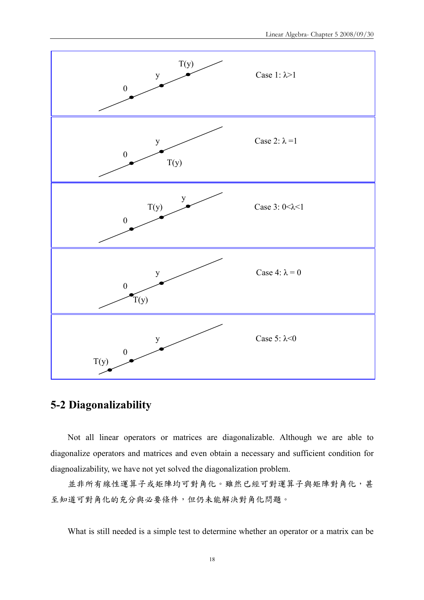

## 5-2 Diagonalizability

Not all linear operators or matrices are diagonalizable. Although we are able to diagonalize operators and matrices and even obtain a necessary and sufficient condition for diagnoalizability, we have not yet solved the diagonalization problem.

並非所有線性運算子或矩陣均可對角化。雖然已經可對運算子與矩陣對角化,甚 至知道可對角化的充分與必要條件,但仍未能解決對角化問題。

What is still needed is a simple test to determine whether an operator or a matrix can be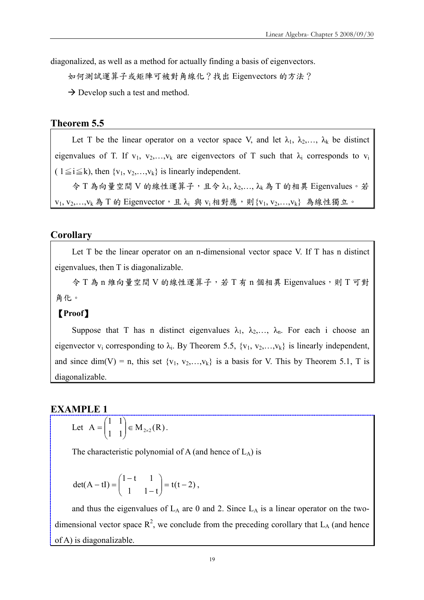diagonalized, as well as a method for actually finding a basis of eigenvectors.

如何測試運算子或矩陣可被對角線化?找出 Eigenvectors 的方法?

 $\rightarrow$  Develop such a test and method.

#### Theorem 5.5

Let T be the linear operator on a vector space V, and let  $\lambda_1, \lambda_2, \ldots, \lambda_k$  be distinct eigenvalues of T. If  $v_1, v_2,...,v_k$  are eigenvectors of T such that  $\lambda_i$  corresponds to  $v_i$ (  $1 \le i \le k$ ), then  $\{v_1, v_2, \ldots, v_k\}$  is linearly independent.

 $\hat{\varphi}$  T 為向量空間 V 的線性運算子,且令  $\lambda_1, \lambda_2, ..., \lambda_k$  為 T 的相異 Eigenvalues。若  $v_1, v_2, \ldots, v_k$ 為 T 的 Eigenvector, 且  $\lambda_i$  與  $v_i$  相對應,則 $\{v_1, v_2, \ldots, v_k\}$  為線性獨立。

#### **Corollary**

Let T be the linear operator on an n-dimensional vector space V. If T has n distinct eigenvalues, then T is diagonalizable.

 $\hat{\phi}$  T 為 n 維向量空間 V 的線性運算子,若 T 有 n 個相異 Eigenvalues,則 T 可對 角化。

#### 【Proof】

Suppose that T has n distinct eigenvalues  $\lambda_1$ ,  $\lambda_2$ ,...,  $\lambda_n$ . For each i choose an eigenvector  $v_i$  corresponding to  $\lambda_i$ . By Theorem 5.5,  $\{v_1, v_2,...,v_k\}$  is linearly independent, and since dim(V) = n, this set  $\{v_1, v_2,...,v_k\}$  is a basis for V. This by Theorem 5.1, T is diagonalizable.

#### EXAMPLE 1

Let 
$$
A = \begin{pmatrix} 1 & 1 \\ 1 & 1 \end{pmatrix} \in M_{2\times 2}(R)
$$
.

The characteristic polynomial of A (and hence of  $L_A$ ) is

$$
det(A - tI) = \begin{pmatrix} 1 - t & 1 \\ 1 & 1 - t \end{pmatrix} = t(t - 2),
$$

and thus the eigenvalues of  $L_A$  are 0 and 2. Since  $L_A$  is a linear operator on the twodimensional vector space  $R^2$ , we conclude from the preceding corollary that  $L_A$  (and hence of A) is diagonalizable.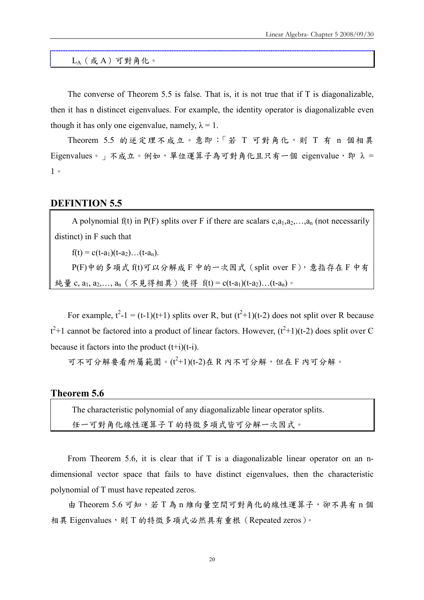$L_A$  $(\,$ 或 $\,$ A $)$ 可對角化。

The converse of Theorem 5.5 is false. That is, it is not true that if T is diagonalizable, then it has n distincet eigenvalues. For example, the identity operator is diagonalizable even though it has only one eigenvalue, namely,  $\lambda = 1$ .

Theorem 5.5 的逆定理不成立。意即:「若 T 可對角化,則 T 有 n 個相異 Eigenvalues。」不成立。例如,單位運算子為可對角化且只有一個 eigenvalue,即 λ = 1。

#### DEFINTION 5.5

A polynomial f(t) in P(F) splits over F if there are scalars  $c, a_1, a_2, \ldots, a_n$  (not necessarily distinct) in F such that

 $f(t) = c(t-a_1)(t-a_2)...(t-a_n).$ 

 $P(F)$ 中的多項式 $f(t)$ 可以分解成 F 中的一次因式 (split over F),意指存在 F 中有 純量 c, a<sub>1</sub>, a<sub>2</sub>,..., a<sub>n</sub> (不見得相異)使得 f(t) = c(t-a<sub>1</sub>)(t-a<sub>2</sub>)...(t-a<sub>n</sub>)。

For example,  $t^2-1 = (t-1)(t+1)$  splits over R, but  $(t^2+1)(t-2)$  does not split over R because  $t^2$ +1 cannot be factored into a product of linear factors. However,  $(t^2+1)(t-2)$  does split over C because it factors into the product  $(t+i)(t-i)$ .

可不可分解要看所屬範圍。( $t^2+1$ )(t-2)在 R 內不可分解, 但在 F 內可分解。

#### Theorem 5.6

The characteristic polynomial of any diagonalizable linear operator splits. 任一可對角化線性運算子 T 的特徵多項式皆可分解一次因式。

From Theorem 5.6, it is clear that if T is a diagonalizable linear operator on an ndimensional vector space that fails to have distinct eigenvalues, then the characteristic polynomial of T must have repeated zeros.

由 Theorem 5.6 可知,若 T 為 n 維向量空間可對角化的線性運算子,卻不具有 n 個 相異 Eigenvalues,則 T 的特徵多項式必然具有重根(Repeated zeros)。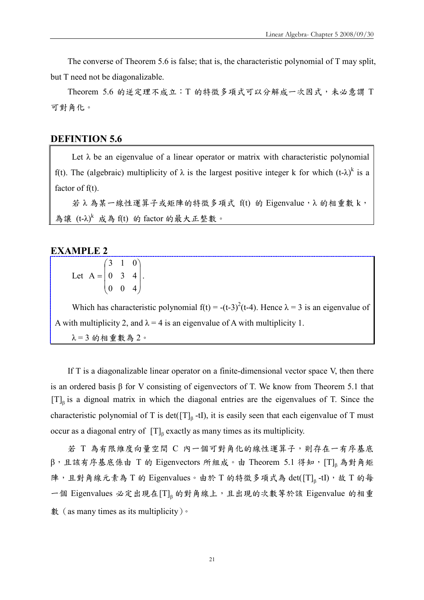The converse of Theorem 5.6 is false; that is, the characteristic polynomial of T may split, but T need not be diagonalizable.

Theorem 5.6 的逆定理不成立:T 的特徵多項式可以分解成一次因式,未必意謂 T 可對角化。

#### DEFINTION 5.6

Let  $\lambda$  be an eigenvalue of a linear operator or matrix with characteristic polynomial f(t). The (algebraic) multiplicity of  $\lambda$  is the largest positive integer k for which (t- $\lambda$ )<sup>k</sup> is a factor of  $f(t)$ .

若 λ 為某一線性運算子或矩陣的特徵多項式 f(t) 的 Eigenvalue,λ 的相重數 k, 為讓  $(t-\lambda)^k$ 成為 $f(t)$  的 factor 的最大正整數。

#### EXAMPLE 2

|                                                     |  | $(3 \ 1 \ 0)$                             |  |
|-----------------------------------------------------|--|-------------------------------------------|--|
| Let $A = \begin{bmatrix} 0 & 3 & 4 \end{bmatrix}$ . |  |                                           |  |
|                                                     |  | $\begin{pmatrix} 0 & 0 & 4 \end{pmatrix}$ |  |

Which has characteristic polynomial  $f(t) = -(t-3)^2(t-4)$ . Hence  $\lambda = 3$  is an eigenvalue of A with multiplicity 2, and  $\lambda = 4$  is an eigenvalue of A with multiplicity 1.  $\lambda = 3$ 的相重數為 $2$ 。

If T is a diagonalizable linear operator on a finite-dimensional vector space V, then there is an ordered basis β for V consisting of eigenvectors of T. We know from Theorem 5.1 that  $[T]_β$  is a dignoal matrix in which the diagonal entries are the eigenvalues of T. Since the characteristic polynomial of T is det( $[T]_p$ -tI), it is easily seen that each eigenvalue of T must occur as a diagonal entry of  $[T]_p$  exactly as many times as its multiplicity.

若 T 為有限維度向量空間 C 內一個可對角化的線性運算子,則存在一有序基底  $\beta$ ,且該有序基底係由 T 的 Eigenvectors 所組成。由 Theorem 5.1 得知,[T]<sub>β</sub>為對角矩 陣,且對角線元素為 T 的 Eigenvalues。由於 T 的特徵多項式為 det( $\left[ T \right]_β$ -tI), 故 T 的每 一個 Eigenvalues 必定出現在 $[T]_β$  的對角線上,且出現的次數等於該 Eigenvalue 的相重 數(as many times as its multiplicity)。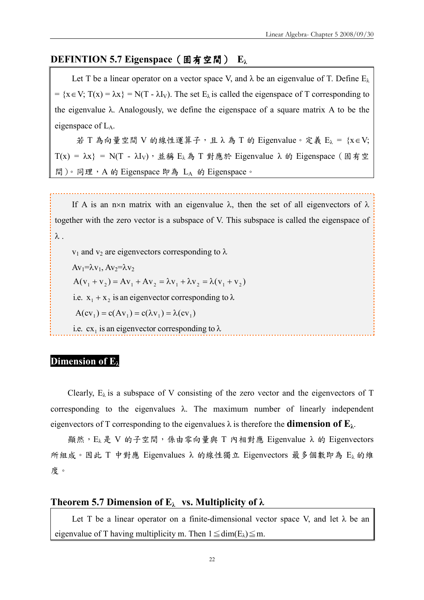#### DEFINTION 5.7 Eigenspace (固有空間) Eλ

Let T be a linear operator on a vector space V, and  $\lambda$  be an eigenvalue of T. Define  $E_{\lambda}$ =  $\{x \in V; T(x) = \lambda x\} = N(T - \lambda I_v)$ . The set  $E_\lambda$  is called the eigenspace of T corresponding to the eigenvalue  $\lambda$ . Analogously, we define the eigenspace of a square matrix A to be the eigenspace of  $L_A$ .

若 T 為向量空間 V 的線性運算子,且 λ 為 T 的 Eigenvalue。定義 Eλ = {x∈V;  $T(x) = \lambda x$ } = N(T - λI<sub>V</sub>), 並稱 E<sub>λ</sub>為 T 對應於 Eigenvalue  $\lambda$  的 Eigenspace (固有空 間)。同理,A 的 Eigenspace 即為 L<sup>A</sup> 的 Eigenspace。

If A is an n×n matrix with an eigenvalue  $\lambda$ , then the set of all eigenvectors of  $\lambda$ together with the zero vector is a subspace of V. This subspace is called the eigenspace of λ .

 $v_1$  and  $v_2$  are eigenvectors corresponding to  $\lambda$  $Av_1=\lambda v_1$ ,  $Av_2=\lambda v_2$  $A(v_1 + v_2) = Av_1 + Av_2 = \lambda v_1 + \lambda v_2 = \lambda (v_1 + v_2)$ i.e.  $x_1 + x_2$  is an eigenvector corresponding to  $\lambda$  $A(cv_1) = c(Av_1) = c(\lambda v_1) = \lambda (cv_1)$ i.e.  $cx_1$  is an eigenvector corresponding to  $\lambda$ 

#### Dimension of  $E_i$

Clearly,  $E_{\lambda}$  is a subspace of V consisting of the zero vector and the eigenvectors of T corresponding to the eigenvalues  $\lambda$ . The maximum number of linearly independent eigenvectors of T corresponding to the eigenvalues  $\lambda$  is therefore the **dimension of E**<sub> $\lambda$ </sub>.

顯然, E<sub>λ</sub> 是 V 的子空間, 係由零向量與 T 內相對應 Eigenvalue λ 的 Eigenvectors 所組成。因此 T 中對應 Eigenvalues λ 的線性獨立 Eigenvectors 最多個數即為 E<sup>λ</sup> 的維 度。

#### Theorem 5.7 Dimension of  $E_{\lambda}$  vs. Multiplicity of  $\lambda$

Let T be a linear operator on a finite-dimensional vector space V, and let  $\lambda$  be an eigenvalue of T having multiplicity m. Then  $1 \leq dim(E_{\lambda}) \leq m$ .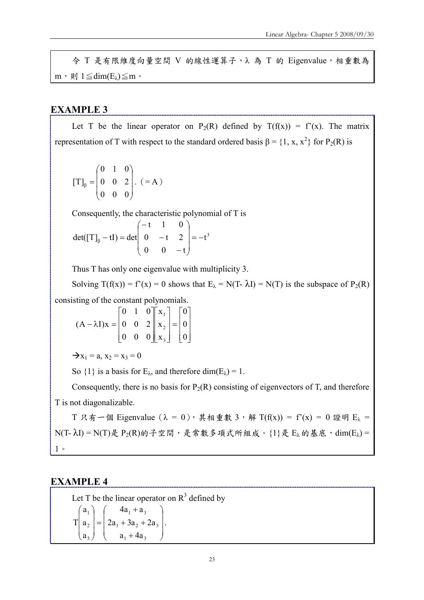令 T 是有限維度向量空間 V 的線性運算子,λ 為 T 的 Eigenvalue,相重數為 m, 則 1 $\leq$ dim(E<sub>λ</sub>) $\leq$ m.

#### EXAMPLE 3

Let T be the linear operator on P<sub>2</sub>(R) defined by  $T(f(x)) = f'(x)$ . The matrix representation of T with respect to the standard ordered basis  $\beta = \{1, x, x^2\}$  for P<sub>2</sub>(R) is

$$
[\mathrm{T}]_{\beta} = \begin{pmatrix} 0 & 1 & 0 \\ 0 & 0 & 2 \\ 0 & 0 & 0 \end{pmatrix} . \quad (=A)
$$

Consequently, the characteristic polynomial of T is

 $t^3$  $0 \t 0 \t -t$ 0  $-t$  2 t 1 0  $det([T]_6 - tI) = det \begin{vmatrix} 0 & -t & 2 \end{vmatrix} = \overline{\phantom{a}}$  $\overline{\phantom{a}}$  $\overline{\phantom{a}}$  $\bigg)$  $\setminus$  $\overline{\phantom{a}}$  $\mathsf{I}$  $\mathbf{I}$  $\setminus$ ſ − − −  $_{\beta}$  – tI) =

Thus T has only one eigenvalue with multiplicity 3.

Solving  $T(f(x)) = f'(x) = 0$  shows that  $E_{\lambda} = N(T - \lambda I) = N(T)$  is the subspace of  $P_2(R)$ consisting of the constant polynomials.

$$
(\mathbf{A} - \lambda \mathbf{I})\mathbf{x} = \begin{bmatrix} 0 & 1 & 0 \\ 0 & 0 & 2 \\ 0 & 0 & 0 \end{bmatrix} \begin{bmatrix} \mathbf{x}_1 \\ \mathbf{x}_2 \\ \mathbf{x}_3 \end{bmatrix} = \begin{bmatrix} 0 \\ 0 \\ 0 \end{bmatrix}
$$

 $\rightarrow$ x<sub>1</sub> = a, x<sub>2</sub> = x<sub>3</sub> = 0

So  $\{1\}$  is a basis for E<sub> $\lambda$ </sub>, and therefore dim(E<sub> $\lambda$ </sub>) = 1.

Consequently, there is no basis for  $P_2(R)$  consisting of eigenvectors of T, and therefore T is not diagonalizable.

T 只有一個 Eigenvalue  $(\lambda = 0)$ , 其相重數 3,解 T(f(x)) = f'(x) = 0 證明 E<sub> $\lambda$ </sub> =  $N(T - \lambda I) = N(T)$ 是  $P_2(R)$ 的子空間,是常數多項式所組成。{1}是 Eλ的基底,dim(Eλ) = 1。

#### EXAMPLE 4

Let T be the linear operator on  $R<sup>3</sup>$  defined by  $\overline{\phantom{a}}$  $\overline{\phantom{a}}$  $\overline{\phantom{a}}$ J  $\setminus$  $\mathsf{I}$  $\mathsf{I}$  $\mathsf{I}$  $\setminus$ ſ  $a_1 + 4a_3$ + + = 1 2 3 a2 a3 a2 T .  $4a_1 + a_3$  $\overline{\phantom{a}}$  $\overline{\phantom{a}}$  $\overline{\phantom{a}}$  $\left(a_{3}\right)$  $\setminus$  $\mathbf{r}$  $\mathbf{I}$ ſ  $a_{2}$  $a<sub>1</sub>$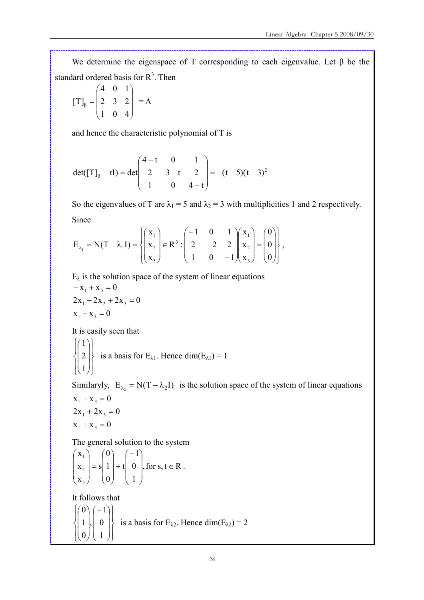We determine the eigenspace of T corresponding to each eigenvalue. Let  $\beta$  be the standard ordered basis for  $R<sup>3</sup>$ . Then

$$
[\mathrm{T}]_{\beta} = \begin{pmatrix} 4 & 0 & 1 \\ 2 & 3 & 2 \\ 1 & 0 & 4 \end{pmatrix} = \mathrm{A}
$$

and hence the characteristic polynomial of T is

$$
det([T]_{\beta} - tI) = det \begin{pmatrix} 4 - t & 0 & 1 \\ 2 & 3 - t & 2 \\ 1 & 0 & 4 - t \end{pmatrix} = -(t - 5)(t - 3)^{2}
$$

So the eigenvalues of T are  $\lambda_1 = 5$  and  $\lambda_2 = 3$  with multiplicities 1 and 2 respectively. Since

$$
E_{\lambda_1} = N(T - \lambda_1 I) = \begin{cases} \begin{pmatrix} x_1 \\ x_2 \\ x_3 \end{pmatrix} \in R^3 : \begin{pmatrix} -1 & 0 & 1 \\ 2 & -2 & 2 \\ 1 & 0 & -1 \end{pmatrix} \begin{pmatrix} x_1 \\ x_2 \\ x_3 \end{pmatrix} = \begin{pmatrix} 0 \\ 0 \\ 0 \end{pmatrix},
$$

 $E_{\lambda}$  is the solution space of the system of linear equations  $x_1 - x_3 = 0$  $2x_1 - 2x_2 + 2x_3 = 0$  $-x_1 + x_3 = 0$ 

It is easily seen that

$$
\begin{Bmatrix} 1 \\ 2 \\ 1 \end{Bmatrix}
$$
 is a basis for E<sub>λ1</sub>. Hence dim(E<sub>λ1</sub>) = 1

Similaryly,  $E_{\lambda_2} = N(T - \lambda_2 I)$  is the solution space of the system of linear equations  $x_1 + x_3 = 0$ 

$$
2x1 + 2x3 = 0
$$

$$
x1 + x3 = 0
$$

The general solution to the system

$$
\begin{pmatrix} x_1 \\ x_2 \\ x_3 \end{pmatrix} = s \begin{pmatrix} 0 \\ 1 \\ 0 \end{pmatrix} + t \begin{pmatrix} -1 \\ 0 \\ 1 \end{pmatrix}, \text{ for } s, t \in \mathbb{R}.
$$

It follows that

$$
\begin{Bmatrix}\n0 \\
1 \\
0\n\end{Bmatrix},\n\begin{bmatrix}\n-1 \\
0 \\
1\n\end{bmatrix}
$$
\nis a basis for E<sub>λ2</sub>. Hence dim(E<sub>λ2</sub>) = 2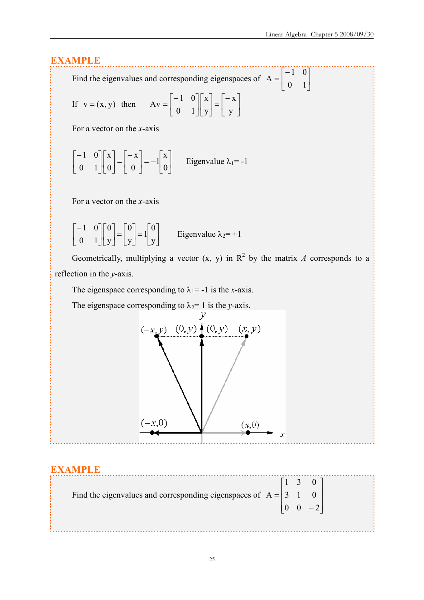$\rfloor$  $\overline{\phantom{a}}$ 

## EXAMPLE

Find the eigenvalues and corresponding eigenspaces of  $A = \begin{bmatrix} 1 & 1 \\ 0 & 1 \end{bmatrix}$  $\mathsf{L}$ L − 0 1 1 0  $A = \begin{bmatrix} 1 & 1 \\ 0 & 1 \end{bmatrix}$ 

If 
$$
v = (x, y)
$$
 then  $Av = \begin{bmatrix} -1 & 0 \\ 0 & 1 \end{bmatrix} \begin{bmatrix} x \\ y \end{bmatrix} = \begin{bmatrix} -x \\ y \end{bmatrix}$ 

For a vector on the  $x$ -axis

$$
\begin{bmatrix} -1 & 0 \\ 0 & 1 \end{bmatrix} \begin{bmatrix} x \\ 0 \end{bmatrix} = \begin{bmatrix} -x \\ 0 \end{bmatrix} = -1 \begin{bmatrix} x \\ 0 \end{bmatrix}
$$
Eigenvalue  $\lambda_1 = -1$ 

For a vector on the  $x$ -axis

$$
\begin{bmatrix} -1 & 0 \\ 0 & 1 \end{bmatrix} \begin{bmatrix} 0 \\ y \end{bmatrix} = \begin{bmatrix} 0 \\ y \end{bmatrix} = 1 \begin{bmatrix} 0 \\ y \end{bmatrix}
$$
Eigenvalue  $\lambda_2 = +1$ 

Geometrically, multiplying a vector  $(x, y)$  in  $R^2$  by the matrix A corresponds to a reflection in the y-axis.

The eigenspace corresponding to  $\lambda_1$ = -1 is the x-axis.

The eigenspace corresponding to  $\lambda_2$ = 1 is the y-axis.



### EXAMPLE

| Find the eigenvalues and corresponding eigenspaces of $A = \begin{vmatrix} 3 & 1 & 0 \end{vmatrix}$ |  |                                            |  |
|-----------------------------------------------------------------------------------------------------|--|--------------------------------------------|--|
|                                                                                                     |  | $\begin{vmatrix} 0 & 0 & -2 \end{vmatrix}$ |  |
|                                                                                                     |  |                                            |  |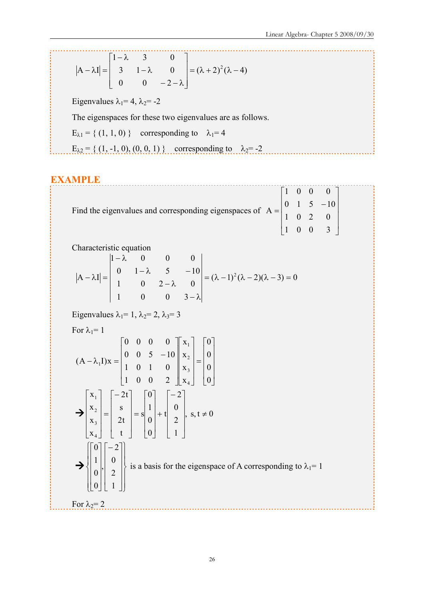$$
|\mathbf{A} - \lambda \mathbf{I}| = \begin{bmatrix} 1 - \lambda & 3 & 0 \\ 3 & 1 - \lambda & 0 \\ 0 & 0 & -2 - \lambda \end{bmatrix} = (\lambda + 2)^2 (\lambda - 4)
$$

Eigenvalues  $\lambda_1$ = 4,  $\lambda_2$ = -2

The eigenspaces for these two eigenvalues are as follows.

 $E_{\lambda 1} = \{ (1, 1, 0) \}$  corresponding to  $\lambda_1 = 4$ 

 $E_{\lambda 2} = \{ (1, -1, 0), (0, 0, 1) \}$  corresponding to  $\lambda_2 = -2$ 

## EXAMPLE

| Find the eigenvalues and corresponding eigenspaces of $A = \begin{bmatrix} 1 & 0 & 0 & 0 \\ 0 & 1 & 5 & -10 \\ 1 & 0 & 2 & 0 \end{bmatrix}$ |  |      |  |
|---------------------------------------------------------------------------------------------------------------------------------------------|--|------|--|
|                                                                                                                                             |  |      |  |
|                                                                                                                                             |  |      |  |
|                                                                                                                                             |  | 1003 |  |

Characteristic equation

$$
|\mathbf{A} - \lambda \mathbf{I}| = \begin{vmatrix} 1 - \lambda & 0 & 0 & 0 \\ 0 & 1 - \lambda & 5 & -10 \\ 1 & 0 & 2 - \lambda & 0 \\ 1 & 0 & 0 & 3 - \lambda \end{vmatrix} = (\lambda - 1)^2 (\lambda - 2)(\lambda - 3) = 0
$$

Eigenvalues  $\lambda_1=1$ ,  $\lambda_2=2$ ,  $\lambda_3=3$ 

For 
$$
\lambda_1 = 1
$$

$$
(A - \lambda_1 I)x = \begin{bmatrix} 0 & 0 & 0 & 0 \\ 0 & 0 & 5 & -10 \\ 1 & 0 & 1 & 0 \\ 1 & 0 & 0 & 2 \end{bmatrix} \begin{bmatrix} x_1 \\ x_2 \\ x_3 \\ x_4 \end{bmatrix} = \begin{bmatrix} -2t \\ s \\ 0 \\ t \end{bmatrix}
$$
  
\n
$$
\Rightarrow \begin{bmatrix} x_1 \\ x_2 \\ x_3 \\ x_4 \end{bmatrix} = \begin{bmatrix} -2t \\ s \\ 2t \\ t \end{bmatrix} = s \begin{bmatrix} 0 \\ 1 \\ 0 \\ 0 \end{bmatrix} + t \begin{bmatrix} -2 \\ 0 \\ 2 \\ 1 \end{bmatrix}, s, t \neq 0
$$
  
\n
$$
\Rightarrow \begin{bmatrix} 0 \\ 1 \\ 0 \\ 0 \end{bmatrix} \begin{bmatrix} -2 \\ 2 \\ 2 \\ 1 \end{bmatrix} \text{ is a basis for the eigenspace of A corresponding to } \lambda_1 = 1
$$
  
\nFor  $\lambda_2 = 2$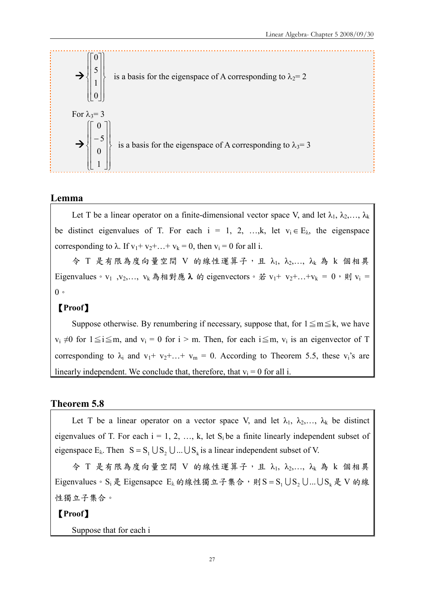

#### Lemma

Let T be a linear operator on a finite-dimensional vector space V, and let  $\lambda_1, \lambda_2, ..., \lambda_k$ be distinct eigenvalues of T. For each  $i = 1, 2, ..., k$ , let  $v_i \in E_\lambda$ , the eigenspace corresponding to  $\lambda$ . If  $v_1 + v_2 + ... + v_k = 0$ , then  $v_i = 0$  for all i.

 $\hat{\varphi}$  T 是有限為度向量空間 V 的線性運算子,且  $\lambda_1$ ,  $\lambda_2$ ,...,  $\lambda_k$  為 k 個相異 Eigenvalues。v<sub>1</sub>, v<sub>2</sub>,..., v<sub>k</sub> 為相對應  $\lambda$  的 eigenvectors。若 v<sub>1</sub>+ v<sub>2</sub>+...+v<sub>k</sub> = 0,則 v<sub>i</sub> =  $0<sup>°</sup>$ 

#### 【Proof】

Suppose otherwise. By renumbering if necessary, suppose that, for  $1 \le m \le k$ , we have  $v_i \neq 0$  for  $1 \leq i \leq m$ , and  $v_i = 0$  for  $i > m$ . Then, for each  $i \leq m$ ,  $v_i$  is an eigenvector of T corresponding to  $\lambda_i$  and  $v_1 + v_2 + ... + v_m = 0$ . According to Theorem 5.5, these  $v_i$ 's are linearly independent. We conclude that, therefore, that  $v_i = 0$  for all i.

#### Theorem 5.8

Let T be a linear operator on a vector space V, and let  $\lambda_1, \lambda_2, \ldots, \lambda_k$  be distinct eigenvalues of T. For each  $i = 1, 2, ..., k$ , let  $S_i$  be a finite linearly independent subset of eigenspace  $E_{\lambda}$ . Then  $S = S_1 \cup S_2 \cup ... \cup S_k$  is a linear independent subset of V.

 $\hat{\varphi}$  T 是有限為度向量空間 V 的線性運算子,且  $\lambda_1$ ,  $\lambda_2$ ,...,  $\lambda_k$  為 k 個相異 Eigenvalues。S<sub>i</sub> 是 Eigensapce E<sub>λ</sub>的線性獨立子集合,則 S = S<sub>1</sub> U S<sub>2</sub> U... U S<sub>k</sub> 是 V 的線 性獨立子集合。

【Proof】

Suppose that for each i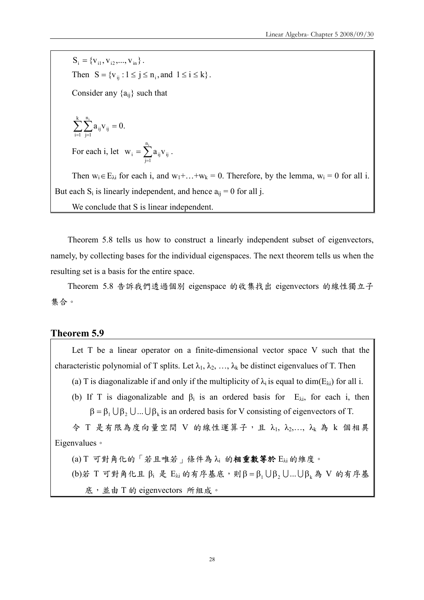$S_i = \{V_{i1}, V_{i2}, ..., V_{in}\}.$ Then  $S = \{v_{ii} : 1 \le j \le n_i, \text{ and } 1 \le i \le k\}.$ Consider any  $\{a_{ii}\}\$  such that  $\sum_{i=1}^k\sum_{j=1}^{n_i}a_{ij}v_{ij}=$ n ij <sup>v</sup>ij  $\sum_{i=1}^{n} a_{ii} v_{ii} = 0.$ 

For each i, let  $w_i = \sum_{j=1}^{n}$  $n_i$ j=1  $W_{i} = \sum a_{ij} V_{ij}$ .

Then  $w_i \in E_{\lambda i}$  for each i, and  $w_1 + ... + w_k = 0$ . Therefore, by the lemma,  $w_i = 0$  for all i. But each  $S_i$  is linearly independent, and hence  $a_{ij} = 0$  for all j.

We conclude that S is linear independent.

Theorem 5.8 tells us how to construct a linearly independent subset of eigenvectors, namely, by collecting bases for the individual eigenspaces. The next theorem tells us when the resulting set is a basis for the entire space.

Theorem 5.8 告訴我們透過個別 eigenspace 的收集找出 eigenvectors 的線性獨立子 集合。

#### Theorem 5.9

 $i = 1$ 

j=1

Let T be a linear operator on a finite-dimensional vector space V such that the characteristic polynomial of T splits. Let  $\lambda_1, \lambda_2, \ldots, \lambda_k$  be distinct eigenvalues of T. Then

(a) T is diagonalizable if and only if the multiplicity of  $\lambda_i$  is equal to dim(E<sub> $\lambda_i$ </sub>) for all i.

(b) If T is diagonalizable and  $\beta_i$  is an ordered basis for  $E_{\lambda i}$ , for each i, then  $\beta = \beta_1 \cup \beta_2 \cup ... \cup \beta_k$  is an ordered basis for V consisting of eigenvectors of T.

 $\hat{\varphi}$  T 是有限為度向量空間 V 的線性運算子,且  $\lambda_1$ ,  $\lambda_2$ ,...,  $\lambda_k$  為 k 個相異 Eigenvalues。

(a) T 可對角化的「若且唯若」條件為 λ<sup>i</sup> 的相重數等於 Eλi 的維度。

(b)若 T 可對角化且  $\beta$ i 是 E<sub>λi</sub> 的有序基底,則β = β<sub>1</sub> Uβ<sub>2</sub> U... Uβ<sub>k</sub> 為 V 的有序基 底,並由 T 的 eigenvectors 所組成。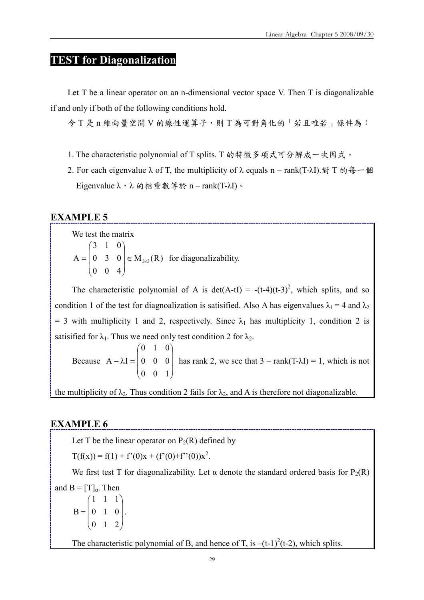## TEST for Diagonalization

Let T be a linear operator on an n-dimensional vector space V. Then T is diagonalizable if and only if both of the following conditions hold.

令 T 是 n 維向量空間 V 的線性運算子,則 T 為可對角化的「若且唯若」條件為:

- 1. The characteristic polynomial of T splits. T 的特徵多項式可分解成一次因式。
- 2. For each eigenvalue  $\lambda$  of T, the multiplicity of  $\lambda$  equals n rank(T- $\lambda$ I). 對 T 的每一個 Eigenvalue  $\lambda$ , λ 的相重數等於 n – rank(T-λI)。

#### EXAMPLE 5

We test the matrix

 $M_{3\times 3}(R)$ 0 0 4 0 3 0 3 1 0  $A = | 0 3 0 | \in M_{3 \times 3}$  $\overline{\phantom{a}}$  $\overline{\phantom{a}}$  $\overline{\phantom{a}}$ J  $\setminus$  $\mathsf{I}$  $\mathsf{I}$  $\mathsf{I}$  $\setminus$ ſ  $= |0 3 0| \in M_{3\times 3}(R)$  for diagonalizability.

The characteristic polynomial of A is det(A-tI) = -(t-4)(t-3)<sup>2</sup>, which splits, and so condition 1 of the test for diagnoalization is satisified. Also A has eigenvalues  $\lambda_1 = 4$  and  $\lambda_2$ = 3 with multiplicity 1 and 2, respectively. Since  $\lambda_1$  has multiplicity 1, condition 2 is satisified for  $\lambda_1$ . Thus we need only test condition 2 for  $\lambda_2$ .

Because  $\overline{\phantom{a}}$  $\overline{\phantom{a}}$  $\overline{\phantom{a}}$ J  $\setminus$  $\overline{\phantom{a}}$  $\mathsf{I}$  $\mathbf{I}$  $\setminus$ ſ  $-\lambda I =$ 0 0 1 0 0 0 0 1 0  $A - \lambda I = | 0 \quad 0 \quad 0 |$  has rank 2, we see that  $3 - \text{rank}(T - \lambda I) = 1$ , which is not

the multiplicity of  $\lambda_2$ . Thus condition 2 fails for  $\lambda_2$ , and A is therefore not diagonalizable.

#### EXAMPLE 6

Let T be the linear operator on  $P_2(R)$  defined by

 $T(f(x)) = f(1) + f'(0)x + (f'(0) + f''(0))x^2$ .

We first test T for diagonalizability. Let  $\alpha$  denote the standard ordered basis for P<sub>2</sub>(R) and  $B = [T]_q$ . Then  $\overline{\phantom{a}}$  $\overline{\phantom{a}}$  $\overline{\phantom{a}}$  $\bigg)$  $\backslash$  $\overline{\phantom{a}}$  $\mathsf{I}$  $\mathbf{r}$  $\setminus$ ſ = 0 1 2 0 1 0 1 1 1  $B = \begin{bmatrix} 0 & 1 & 0 \end{bmatrix}$ .

The characteristic polynomial of B, and hence of T, is  $-(t-1)^2(t-2)$ , which splits.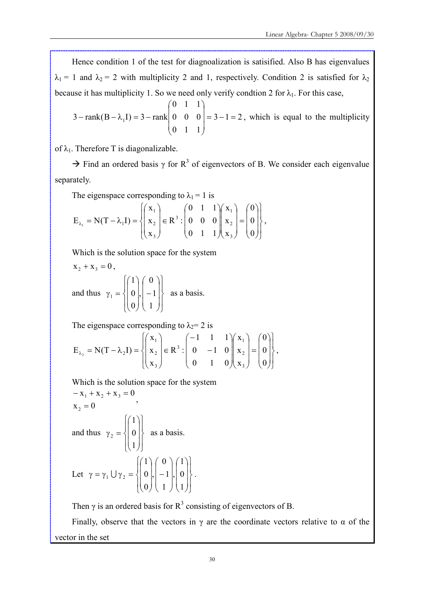Hence condition 1 of the test for diagnoalization is satisified. Also B has eigenvalues  $\lambda_1 = 1$  and  $\lambda_2 = 2$  with multiplicity 2 and 1, respectively. Condition 2 is satisfied for  $\lambda_2$ because it has multiplicity 1. So we need only verify condtion 2 for  $\lambda_1$ . For this case,

 $3 - 1 = 2$ 0 1 1 0 0 0 0 1 1  $3 - \text{rank}(B - \lambda_1 I) = 3 - \text{rank} \begin{vmatrix} 0 & 0 & 0 \end{vmatrix} = 3 - 1 =$  $\overline{\phantom{a}}$  $\overline{\phantom{a}}$  $\overline{\phantom{a}}$ J  $\backslash$  $\mathsf{I}$  $\overline{\phantom{a}}$  $\mathsf{I}$  $\setminus$ ſ  $-\text{rank}(B - \lambda_1 I) = 3 - \text{rank} \begin{vmatrix} 0 & 0 & 0 \end{vmatrix} = 3 - 1 = 2$ , which is equal to the multiplicity

of  $\lambda_1$ . Therefore T is diagonalizable.

 $\rightarrow$  Find an ordered basis  $\gamma$  for R<sup>3</sup> of eigenvectors of B. We consider each eigenvalue separately.

The eigenspace corresponding to  $\lambda_1 = 1$  is

$$
E_{\lambda_1} = N(T - \lambda_1 I) = \left\{ \begin{pmatrix} x_1 \\ x_2 \\ x_3 \end{pmatrix} \in R^3 : \begin{pmatrix} 0 & 1 & 1 \\ 0 & 0 & 0 \\ 0 & 1 & 1 \end{pmatrix} \begin{pmatrix} x_1 \\ x_2 \\ x_3 \end{pmatrix} = \begin{pmatrix} 0 \\ 0 \\ 0 \end{pmatrix} \right\},
$$

Which is the solution space for the system

$$
x_2 + x_3 = 0
$$
,  
and thus  $\gamma_1 = \begin{cases} \begin{pmatrix} 1 \\ 0 \\ 0 \end{pmatrix}, \begin{pmatrix} 0 \\ -1 \\ 1 \end{pmatrix} \end{cases}$  as a basis.

The eigenspace corresponding to  $\lambda_2$ = 2 is

$$
E_{\lambda_2} = N(T - \lambda_2 I) = \left\{ \begin{pmatrix} x_1 \\ x_2 \\ x_3 \end{pmatrix} \in R^3 : \begin{pmatrix} -1 & 1 & 1 \\ 0 & -1 & 0 \\ 0 & 1 & 0 \end{pmatrix} \begin{pmatrix} x_1 \\ x_2 \\ x_3 \end{pmatrix} = \begin{pmatrix} 0 \\ 0 \\ 0 \end{pmatrix} \right\},
$$

Which is the solution space for the system

$$
-x_1 + x_2 + x_3 = 0
$$
  
\n
$$
x_2 = 0
$$
  
\nand thus  $\gamma_2 = \begin{cases} 1 \\ 0 \\ 1 \end{cases}$  as a basis.  
\nLet  $\gamma = \gamma_1 \cup \gamma_2 = \begin{cases} 1 \\ 0 \\ 0 \end{cases}, \begin{pmatrix} 0 \\ -1 \\ 1 \end{pmatrix}, \begin{pmatrix} 1 \\ 0 \\ 1 \end{pmatrix}.$ 

Then  $\gamma$  is an ordered basis for  $R^3$  consisting of eigenvectors of B.

Finally, observe that the vectors in  $\gamma$  are the coordinate vectors relative to  $\alpha$  of the vector in the set